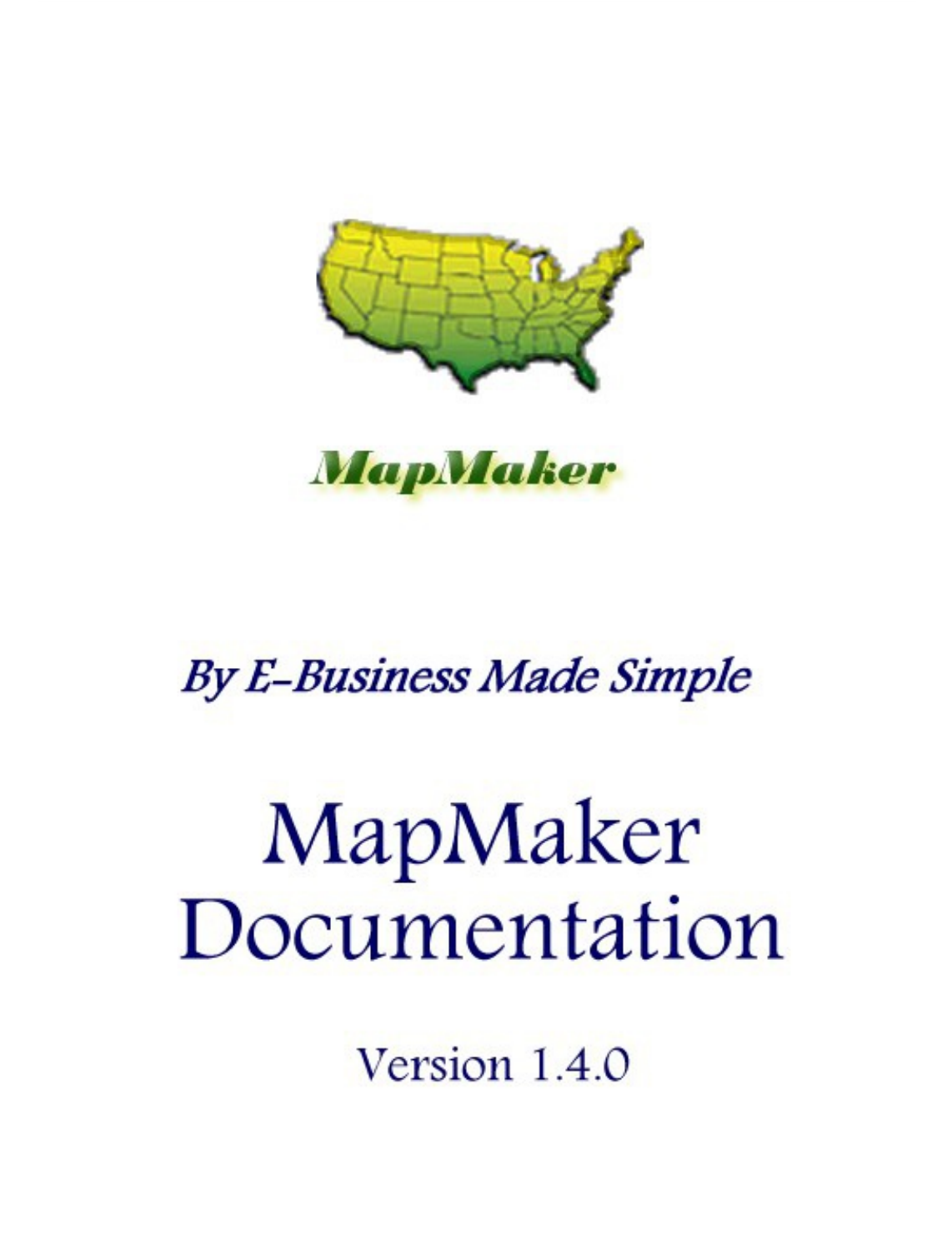

MapMaker

# **By E-Business Made Simple**

# MapMaker Documentation

Version 1.4.0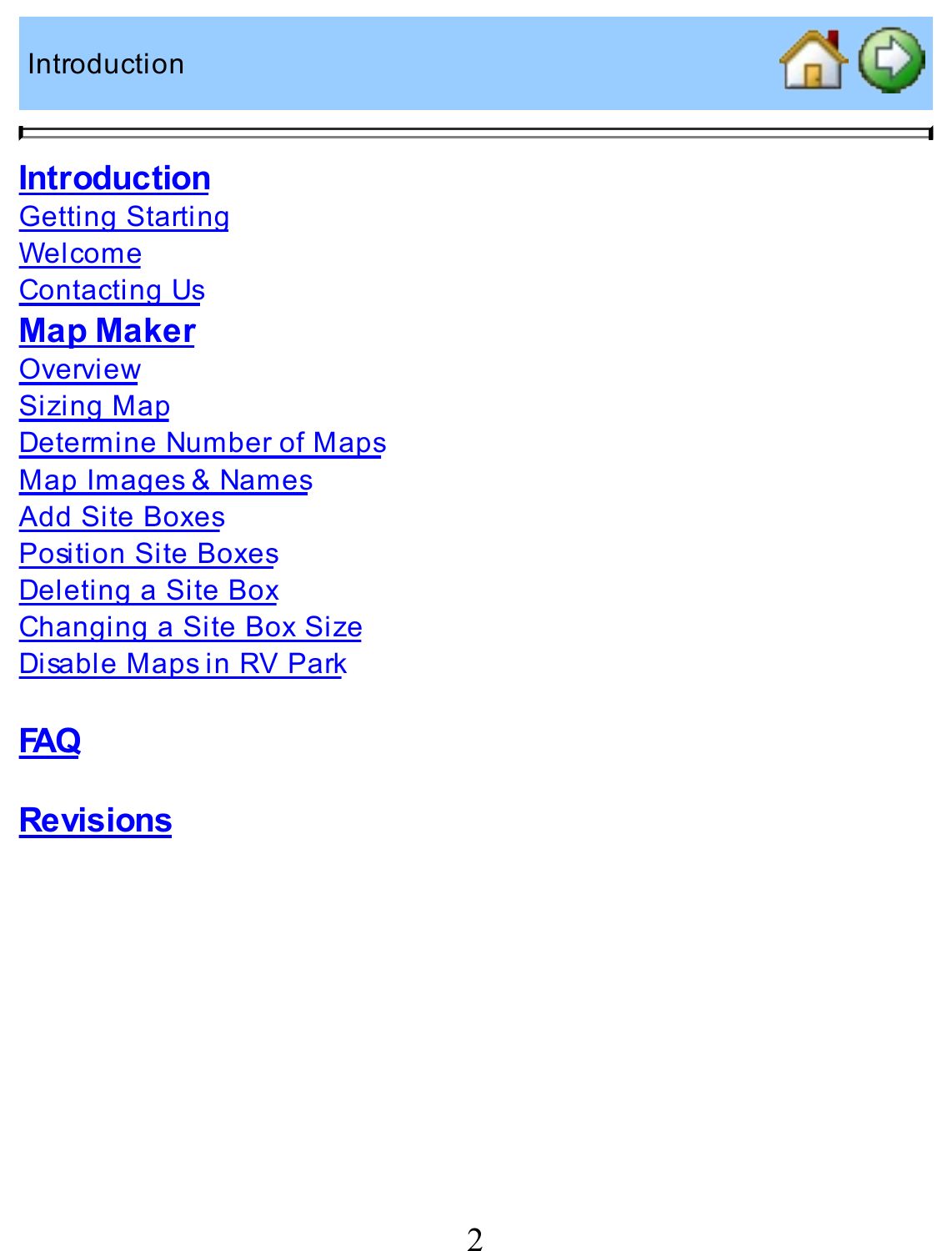Introduction

 $\blacksquare$ 

# $\triangle$  $\odot$

#### **Introduction**

**Getting Starting** Welcome Contacting Us **Map Maker Overview** Sizing Map Determine Number of Maps Map Images & Names Add Site Boxes Position Site Boxes Deleting a Site Box Changing a Site Box Size Disable Maps in RV Park

### **FAQ**

**Revisions**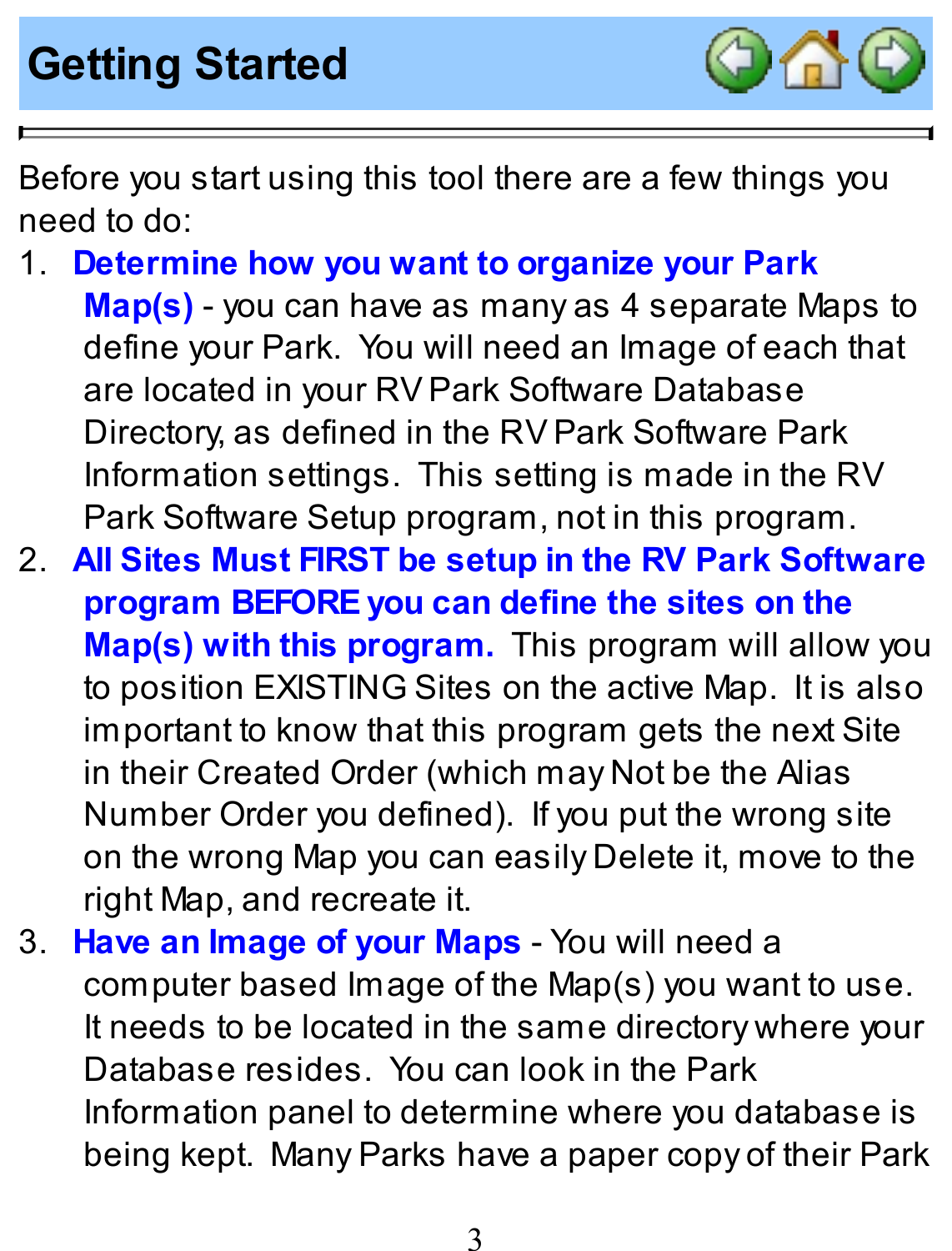#### **Getting Started**



Before you start using this tool there are a few things you need to do:

- 1. **Determine how you want to organize your Park Map(s)** - you can have as many as 4 separate Maps to define your Park. You will need an Image of each that are located in your RV Park Software Database Directory, as defined in the RVPark Software Park Information settings. This setting is made in the RV Park Software Setup program, not in this program.
- 2. **All Sites Must FIRST be setup in the RV Park Software program BEFOREyou can define the sites on the Map(s) with this program.** This program will allow you to position EXISTING Sites on the active Map. It is also important to know that this program gets the next Site in their Created Order (which may Not be the Alias Number Order you defined). If you put the wrong site on the wrong Map you can easily Delete it, move to the right Map, and recreate it.
- 3. **Have an Image of your Maps** You will need a computer based Image of the Map(s) you want to use. It needs to be located in the same directory where your Database resides. You can look in the Park Information panel to determine where you database is being kept. ManyParks have a paper copy of their Park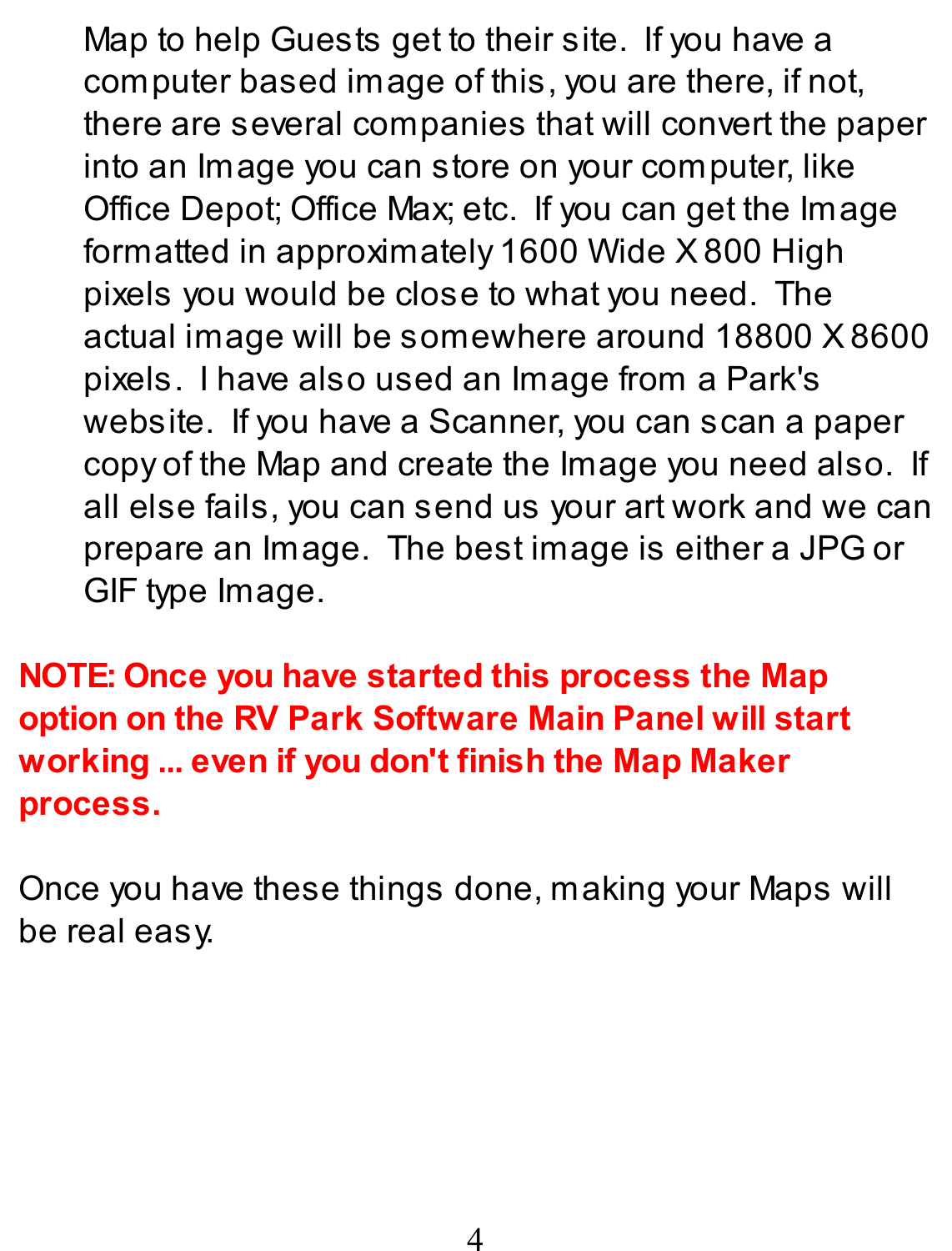Map to help Guests get to their site. If you have a computer based image of this, you are there, if not, there are several companies that will convert the paper into an Image you can store on your computer, like Office Depot; Office Max; etc. If you can get the Image formatted in approximately 1600 Wide X800 High pixels you would be close to what you need. The actual image will be somewhere around 18800 X8600 pixels. I have also used an Image from a Park's website. If you have a Scanner, you can scan a paper copy of the Map and create the Image you need also. If all else fails, you can send us your art work and we can prepare an Image. The best image is either a JPG or GIF type Image.

**NOTE: Once you have started this process the Map option on the RV Park Software Main Panel will start working ... even if you don't finish the Map Maker process.**

Once you have these things done, making your Maps will be real easy.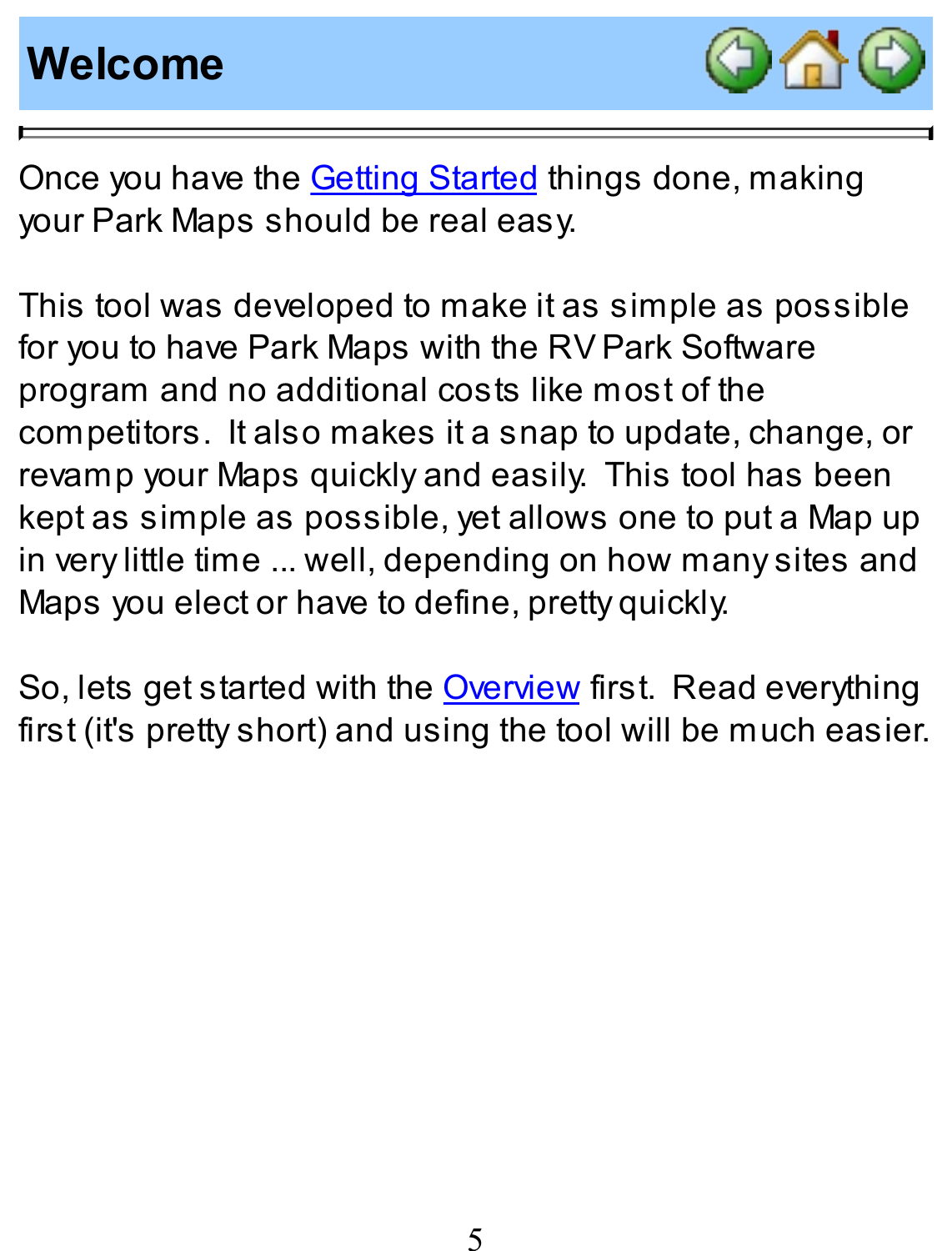#### **Welcome**



Once you have the **Getting Started** things done, making your Park Maps should be real easy.

This tool was developed to make it as simple as possible for you to have Park Maps with the RV Park Software program and no additional costs like most of the competitors. It also makes it a snap to update, change, or revamp your Maps quickly and easily. This tool has been kept as simple as possible, yet allows one to put a Map up in very little time ... well, depending on how many sites and Maps you elect or have to define, pretty quickly.

So, lets get started with the **Overview** first. Read everything first (it's pretty short) and using the tool will be much easier.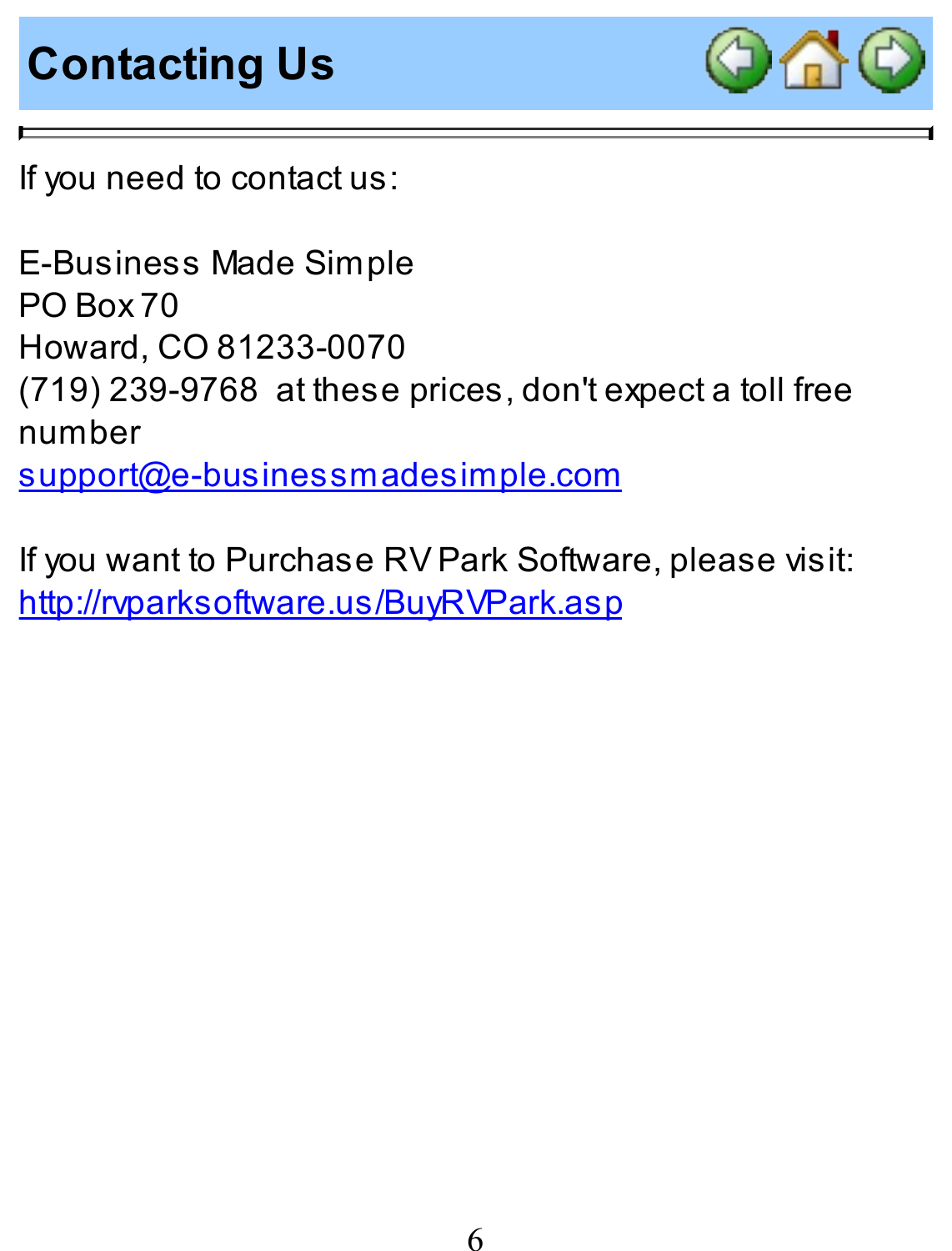# **Contacting Us**



If you need to contact us:

E-Business Made Simple PO Box 70 Howard, CO 81233-0070 (719) 239-9768 at these prices, don't expect a toll free number support@e-businessmadesimple.com

If you want to Purchase RV Park Software, please visit: http://rvparksoftware.us/BuyRVPark.asp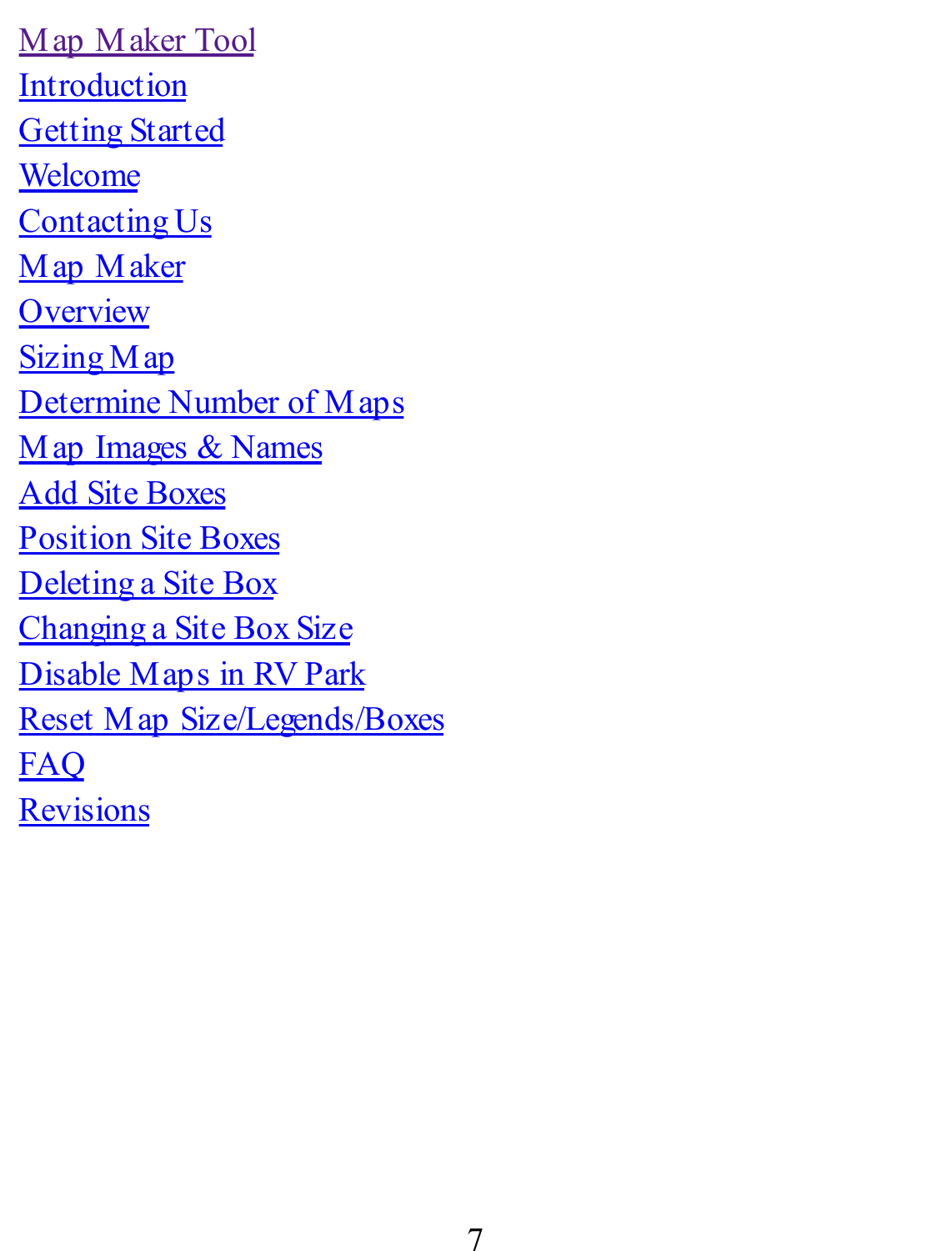Map Maker Tool **Introduction Getting Started** Welcome Contacting Us Map Maker **Overview** Sizing Map Determine Number of Maps Map Images & Names Add Site Boxes Position Site Boxes Deleting a Site Box Changing a Site Box Size Disable Maps in RV Park Reset Map Size/Legends/Boxes FAQ **Revisions**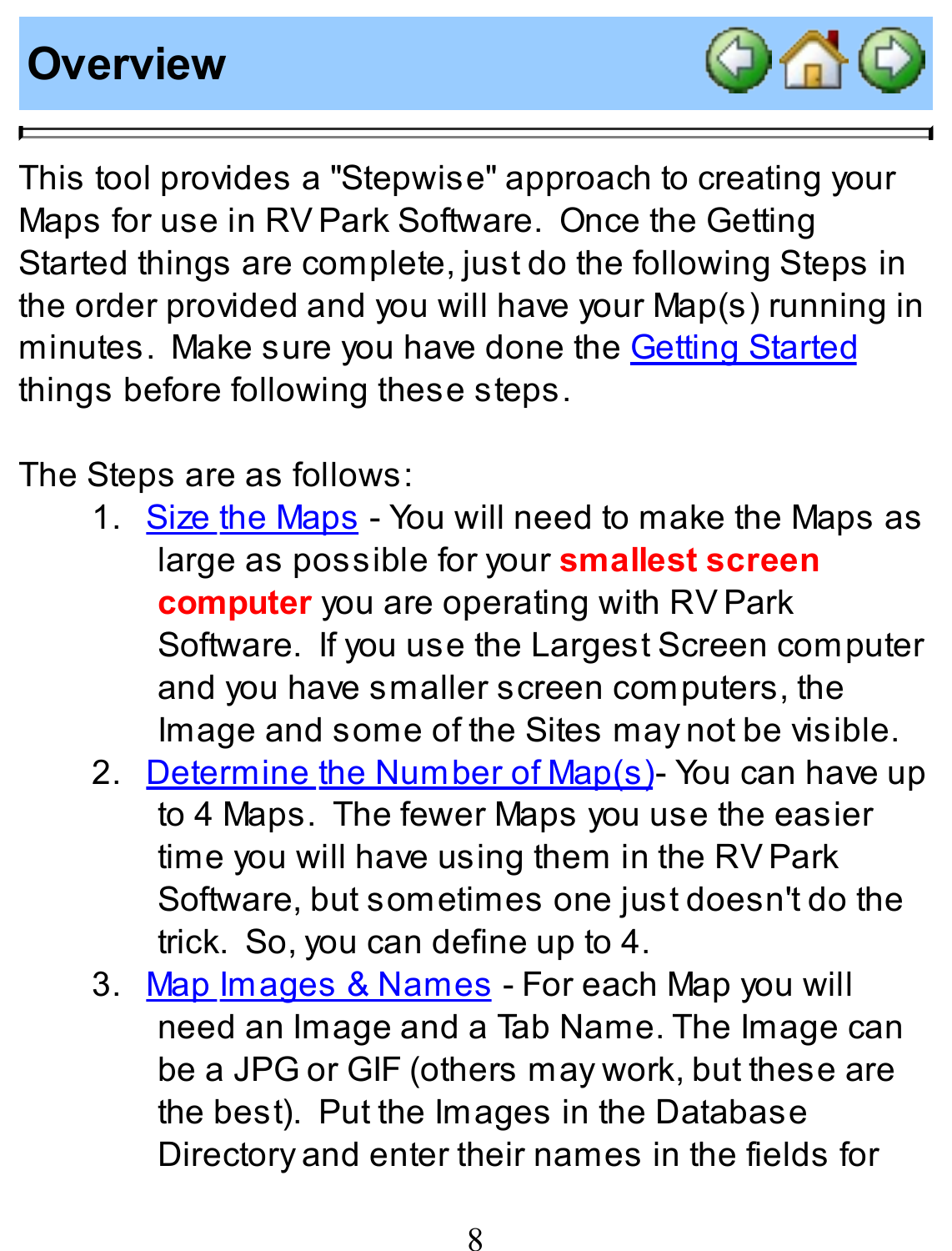#### **Overview**



This tool provides a "Stepwise" approach to creating your Maps for use in RV Park Software. Once the Getting Started things are complete, just do the following Steps in the order provided and you will have your Map(s) running in minutes. Make sure you have done the Getting Started things before following these steps.

The Steps are as follows:

- 1. Size the Maps You will need to make the Maps as large as possible for your **smallest screen computer** you are operating with RVPark Software. If you use the Largest Screen computer and you have smaller screen computers, the Image and some of the Sites may not be visible.
- 2. Determine the Number of Map(s)- You can have up to 4 Maps. The fewer Maps you use the easier time you will have using them in the RVPark Software, but sometimes one just doesn't do the trick. So, you can define up to 4.
- 3. Map Images & Names For each Map you will need an Image and a Tab Name. The Image can be a JPG or GIF (others may work, but these are the best). Put the Images in the Database Directory and enter their names in the fields for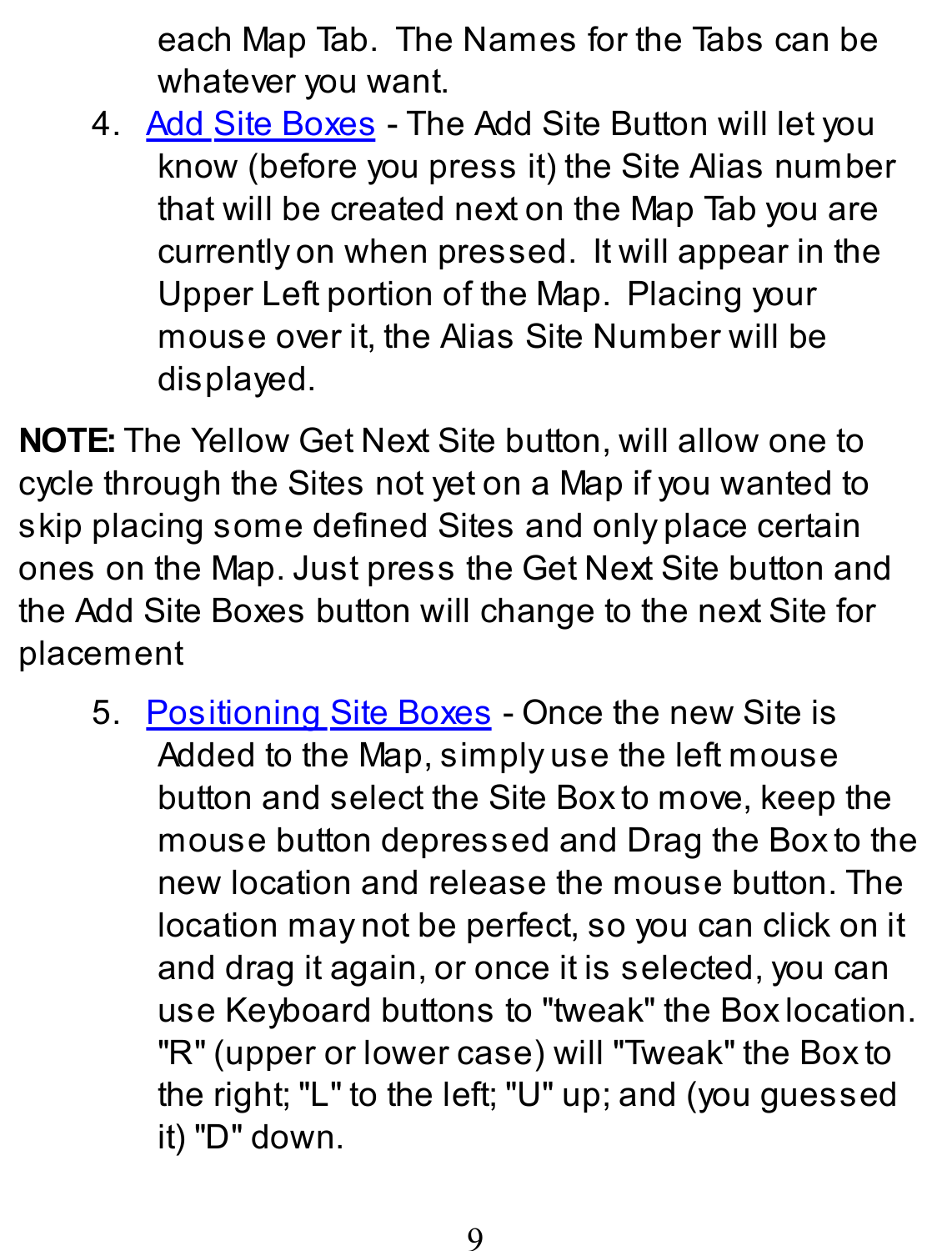each Map Tab. The Names for the Tabs can be whatever you want.

4. Add Site Boxes - The Add Site Button will let you know (before you press it) the Site Alias number that will be created next on the Map Tab you are currently on when pressed. It will appear in the Upper Left portion of the Map. Placing your mouse over it, the Alias Site Number will be displayed.

**NOTE:** The Yellow Get Next Site button, will allow one to cycle through the Sites not yet on a Map if you wanted to skip placing some defined Sites and only place certain ones on the Map. Just press the Get Next Site button and the Add Site Boxes button will change to the next Site for placement

5. Positioning Site Boxes - Once the new Site is Added to the Map, simply use the left mouse button and select the Site Box to move, keep the mouse button depressed and Drag the Box to the new location and release the mouse button. The location may not be perfect, so you can click on it and drag it again, or once it is selected, you can use Keyboard buttons to "tweak" the Box location. "R" (upper or lower case) will "Tweak" the Box to the right; "L" to the left; "U" up; and (you guessed it) "D" down.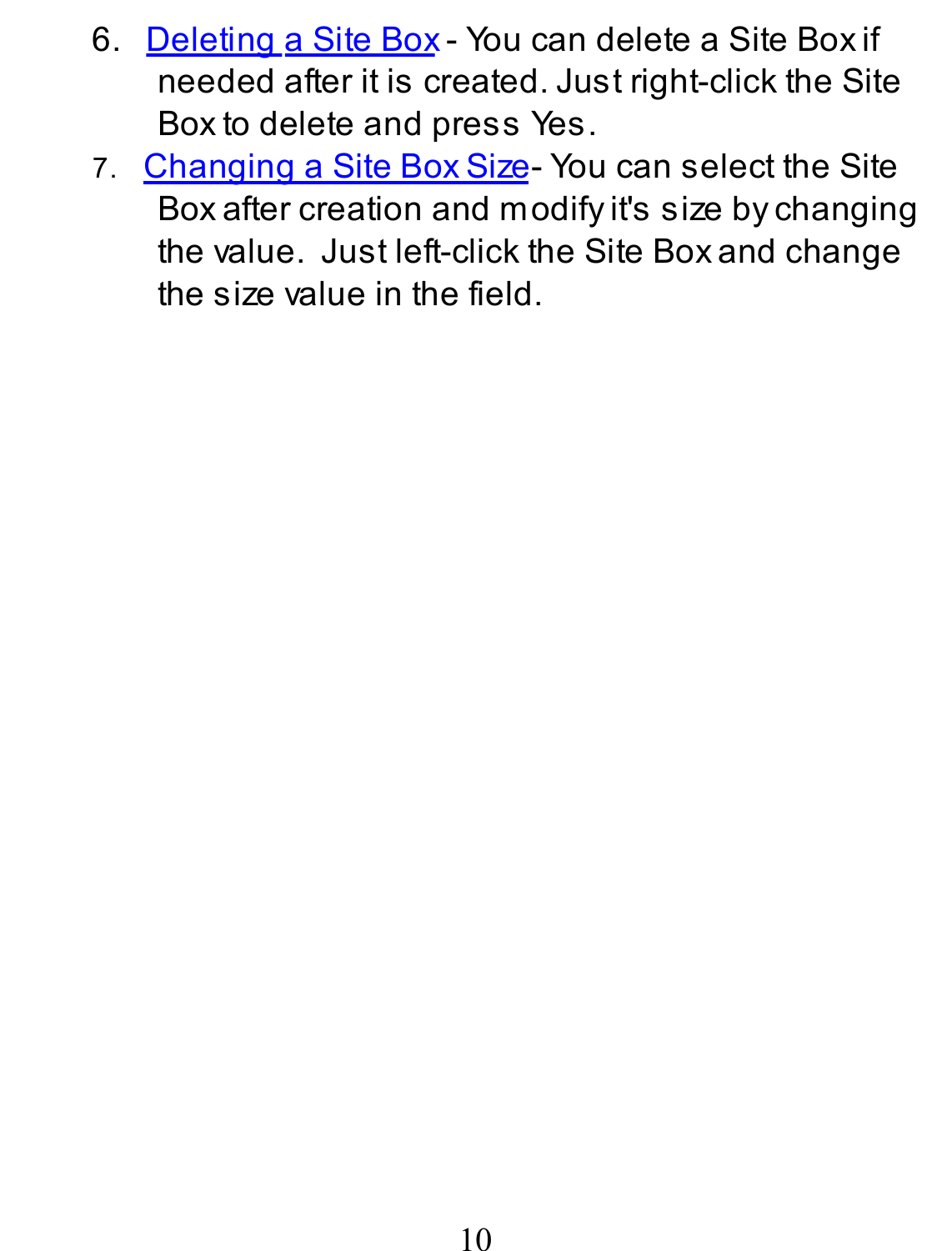- 6. Deleting a Site Box You can delete a Site Box if needed after it is created. Just right-click the Site Box to delete and press Yes.
- 7. Changing a Site Box Size-You can select the Site Box after creation and modify it's size by changing the value. Just left-click the Site Box and change the size value in the field.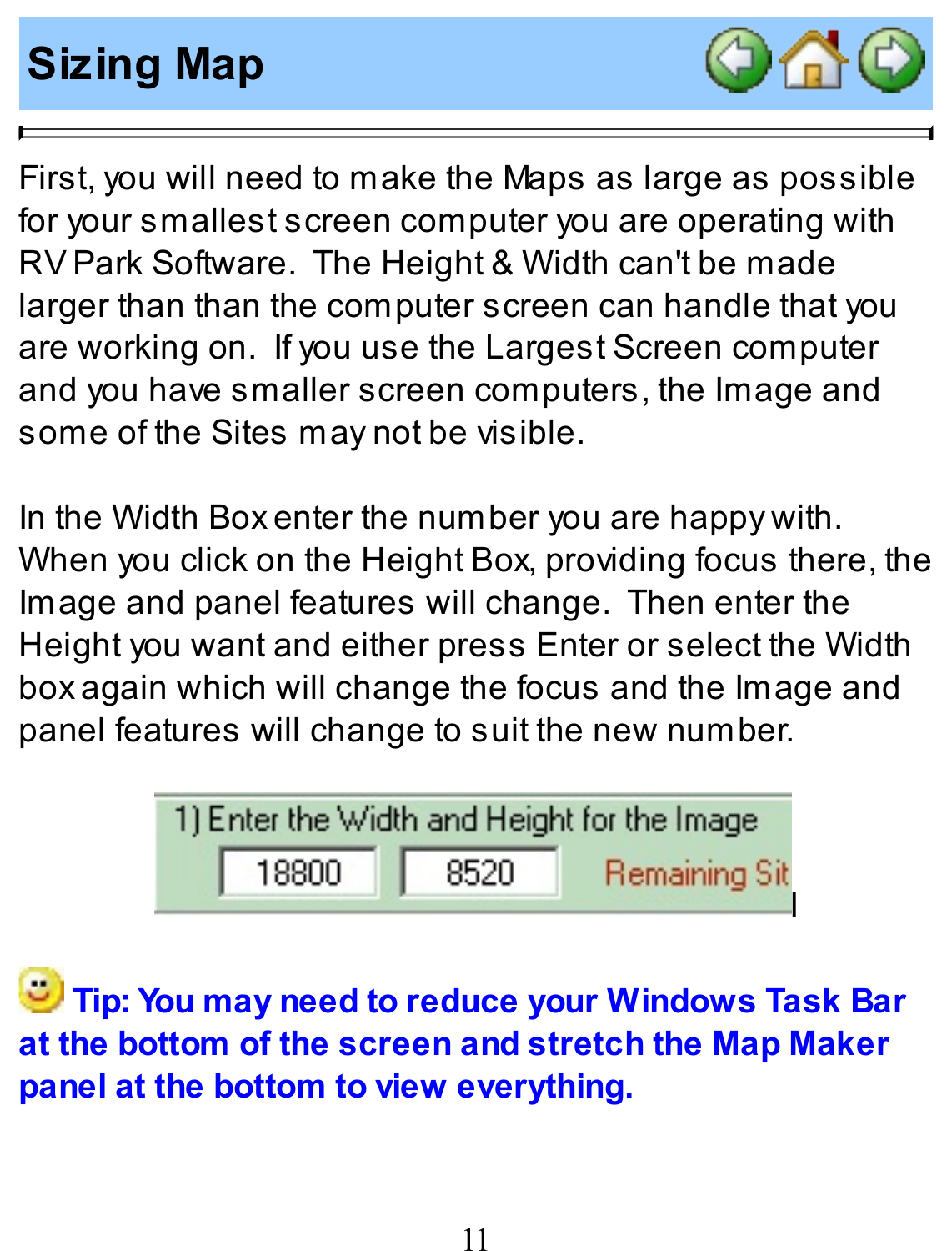## **Sizing Map**



First, you will need to make the Maps as large as possible for your smallest screen computer you are operating with RVPark Software. The Height & Width can't be made larger than than the computer screen can handle that you are working on. If you use the Largest Screen computer and you have smaller screen computers, the Image and some of the Sites may not be visible.

In the Width Box enter the number you are happy with. When you click on the Height Box, providing focus there, the Image and panel features will change. Then enter the Height you want and either press Enter or select the Width box again which will change the focus and the Image and panel features will change to suit the new number.

| 1) Enter the Width and Height for the Image |       |      |                      |  |
|---------------------------------------------|-------|------|----------------------|--|
|                                             | 18800 | 8520 | <b>Remaining Sit</b> |  |
|                                             |       |      |                      |  |

**Tip: You may need to reduce your Windows Task Bar at the bottom of the screen and stretch the Map Maker panel at the bottom to view everything.**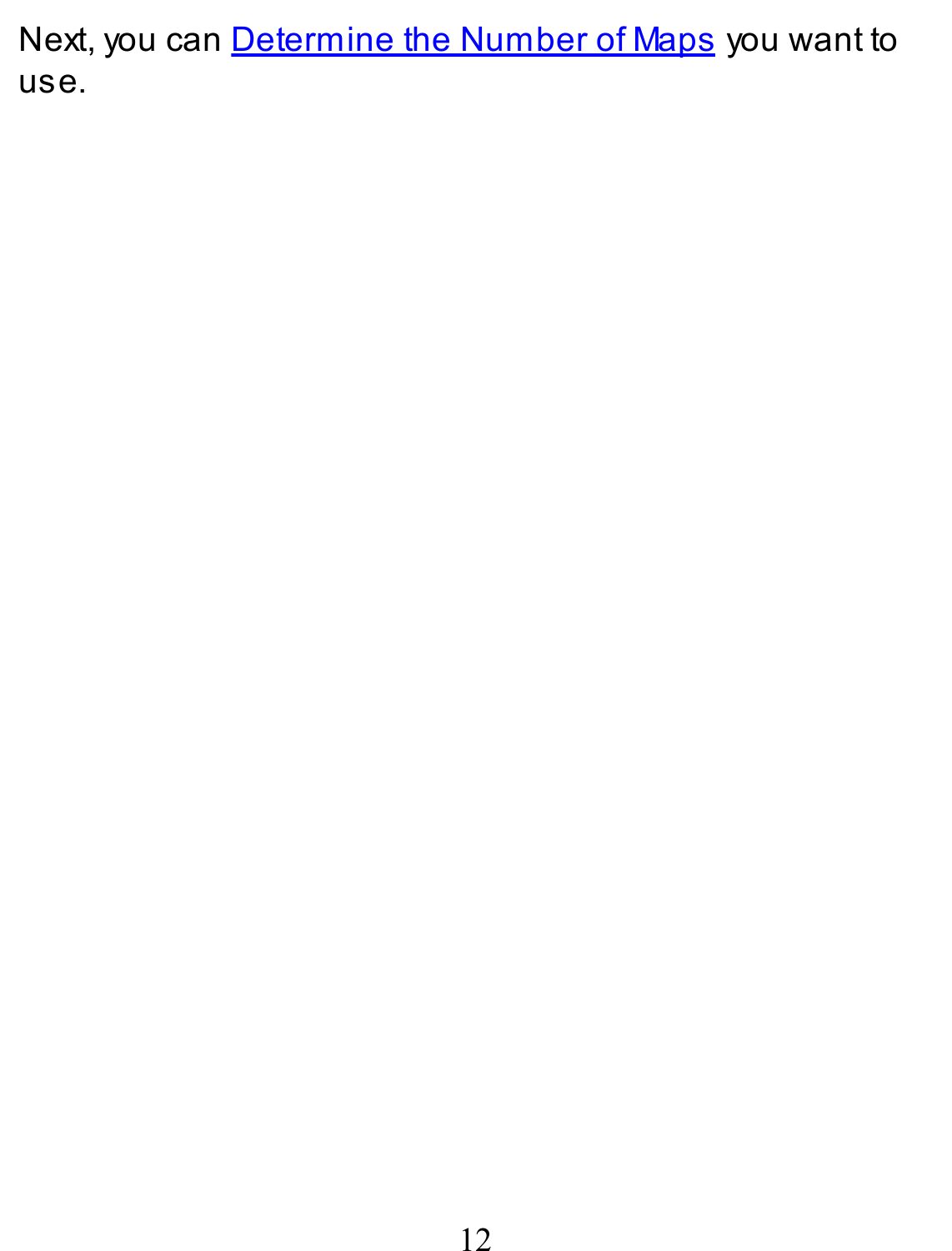Next, you can Determine the Number of Maps you want to use.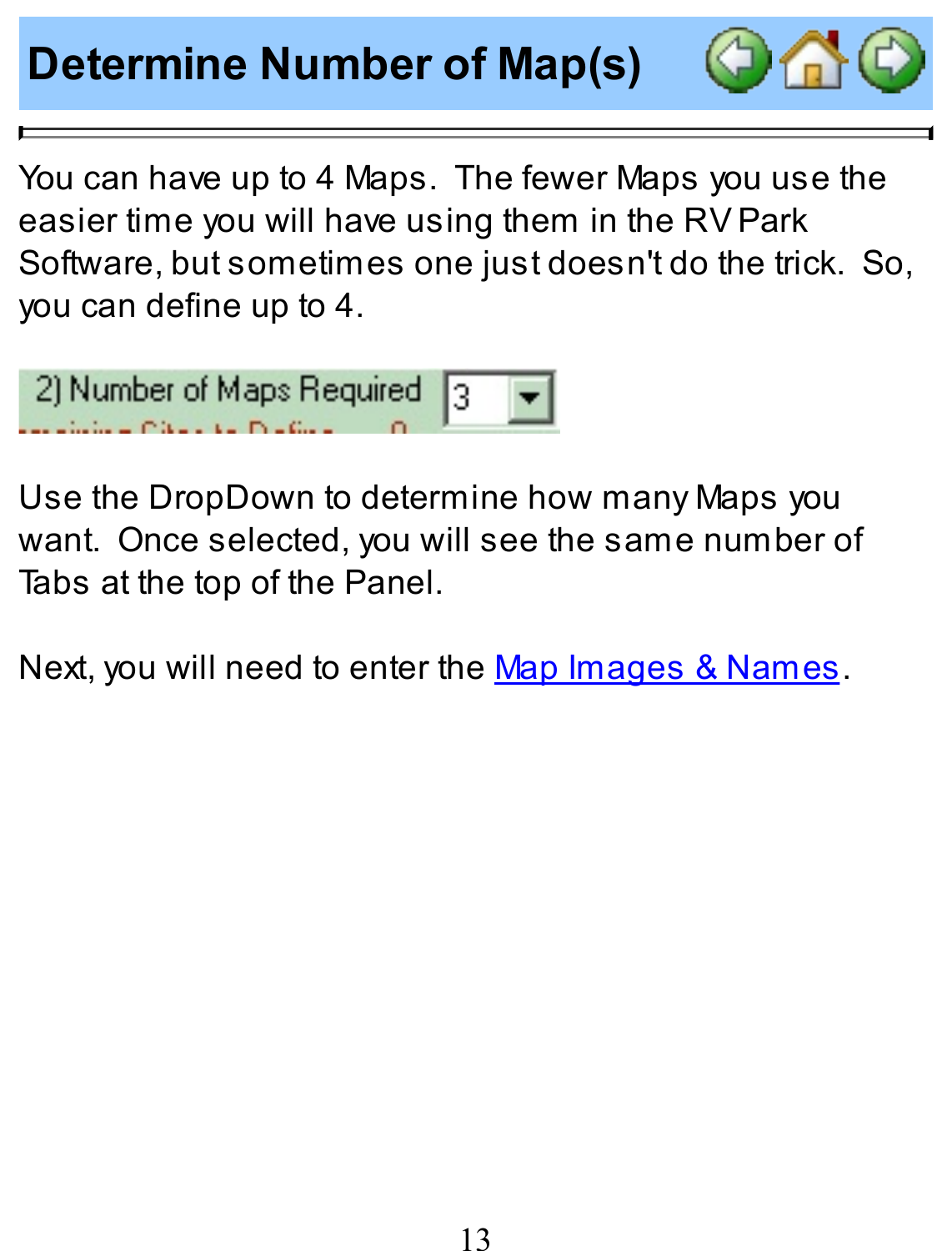# **Determine Number of Map(s)**



You can have up to 4 Maps. The fewer Maps you use the easier time you will have using them in the RVPark Software, but sometimes one just doesn't do the trick. So, you can define up to 4.



Use the DropDown to determine how many Maps you want. Once selected, you will see the same number of Tabs at the top of the Panel.

Next, you will need to enter the Map Images & Names.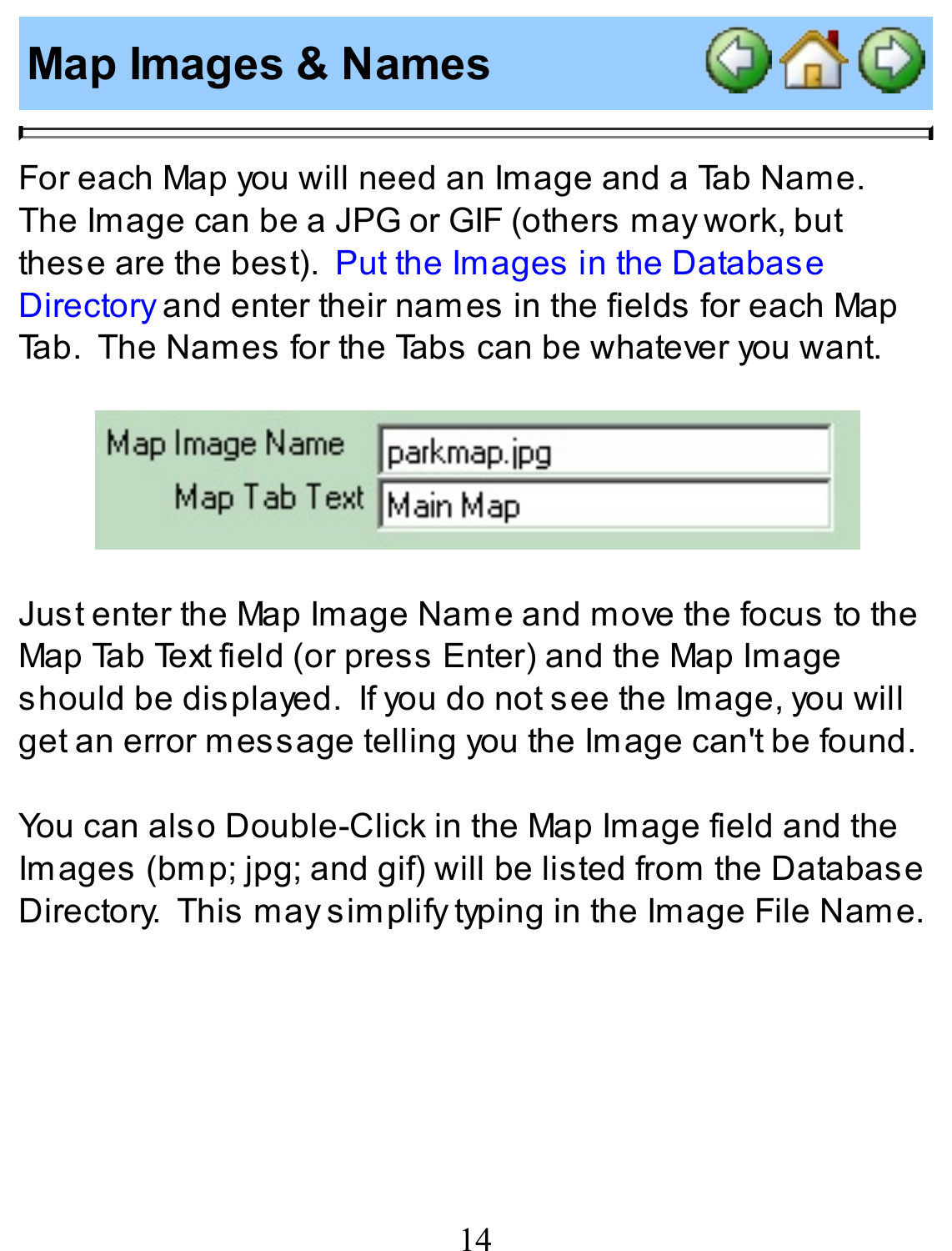## **Map Images & Names**



For each Map you will need an Image and a Tab Name. The Image can be a JPG or GIF (others may work, but these are the best). Put the Images in the Database Directory and enter their names in the fields for each Map Tab. The Names for the Tabs can be whatever you want.

| Map Image Name        | parkmap.jpg |
|-----------------------|-------------|
| Map Tab Text Main Map |             |

Just enter the Map Image Name and move the focus to the Map Tab Text field (or press Enter) and the Map Image should be displayed. If you do not see the Image, you will get an error message telling you the Image can't be found.

You can also Double-Click in the Map Image field and the Images (bmp; jpg; and gif) will be listed from the Database Directory. This may simplify typing in the Image File Name.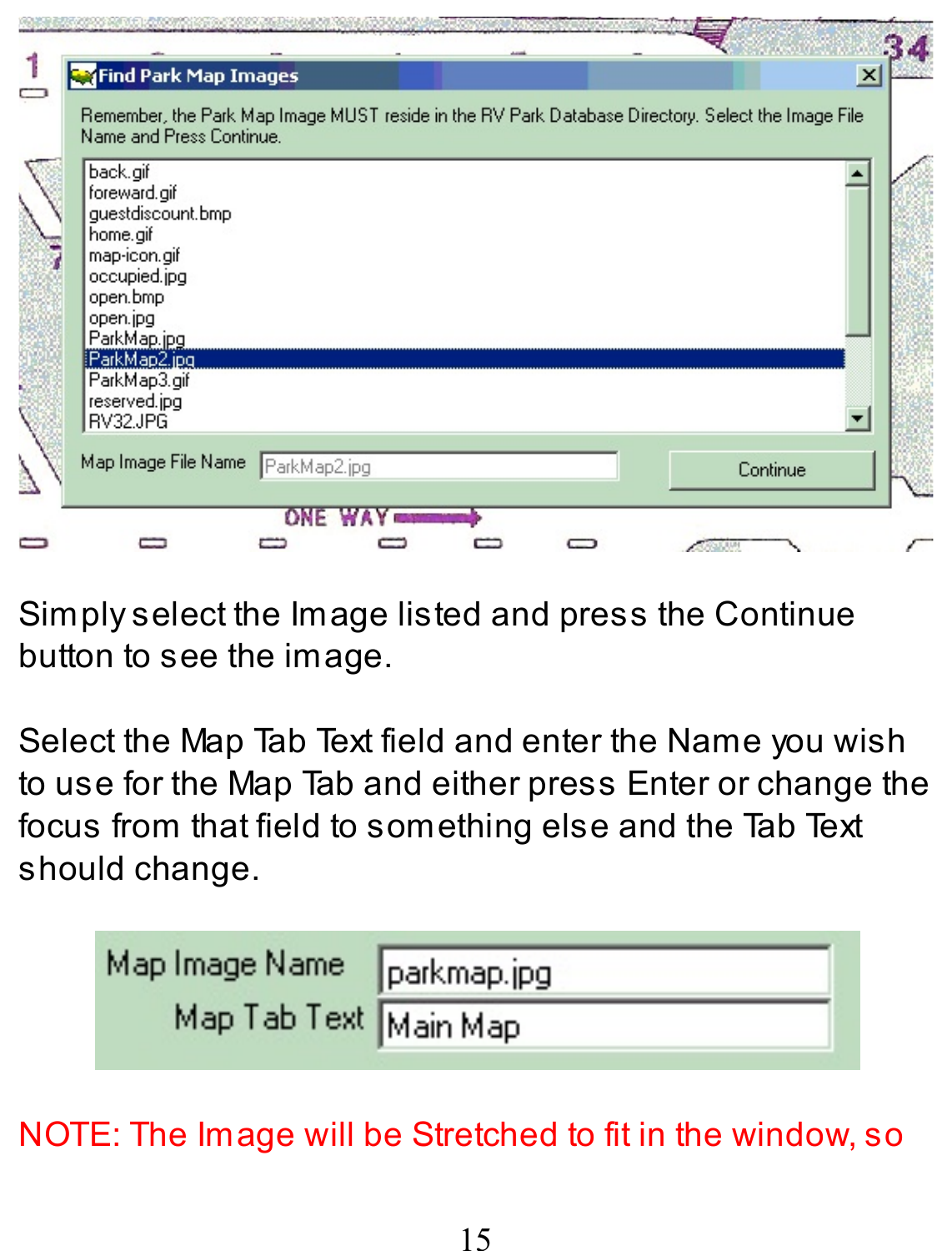|   | <b>Ex</b> Find Park Map Images                                                                                                                                                               |              |  |          | $\vert x \vert$ |
|---|----------------------------------------------------------------------------------------------------------------------------------------------------------------------------------------------|--------------|--|----------|-----------------|
|   | Remember, the Park Map Image MUST reside in the RV Park Database Directory. Select the Image File<br>Name and Press Continue.                                                                |              |  |          |                 |
|   | back.gif<br>foreward.gif<br>questdiscount.bmp<br>home.gif<br>map-icon.gif<br>occupied.jpg<br>open.bmp<br>open.jpg<br>ParkMap.jpg<br>ParkMap2.jpg<br>ParkMap3.gif<br>reserved.jpg<br>RV32.JPG |              |  |          |                 |
| â | Map Image File Name                                                                                                                                                                          | ParkMap2.jpg |  | Continue |                 |
|   |                                                                                                                                                                                              | ONE          |  |          |                 |

Simply select the Image listed and press the Continue button to see the image.

Select the Map Tab Text field and enter the Name you wish to use for the Map Tab and either press Enter or change the focus from that field to something else and the Tab Text should change.

| Map Image Name parkmap.jpg |  |
|----------------------------|--|
| Map Tab Text Main Map      |  |

#### NOTE: The Image will be Stretched to fit in the window, so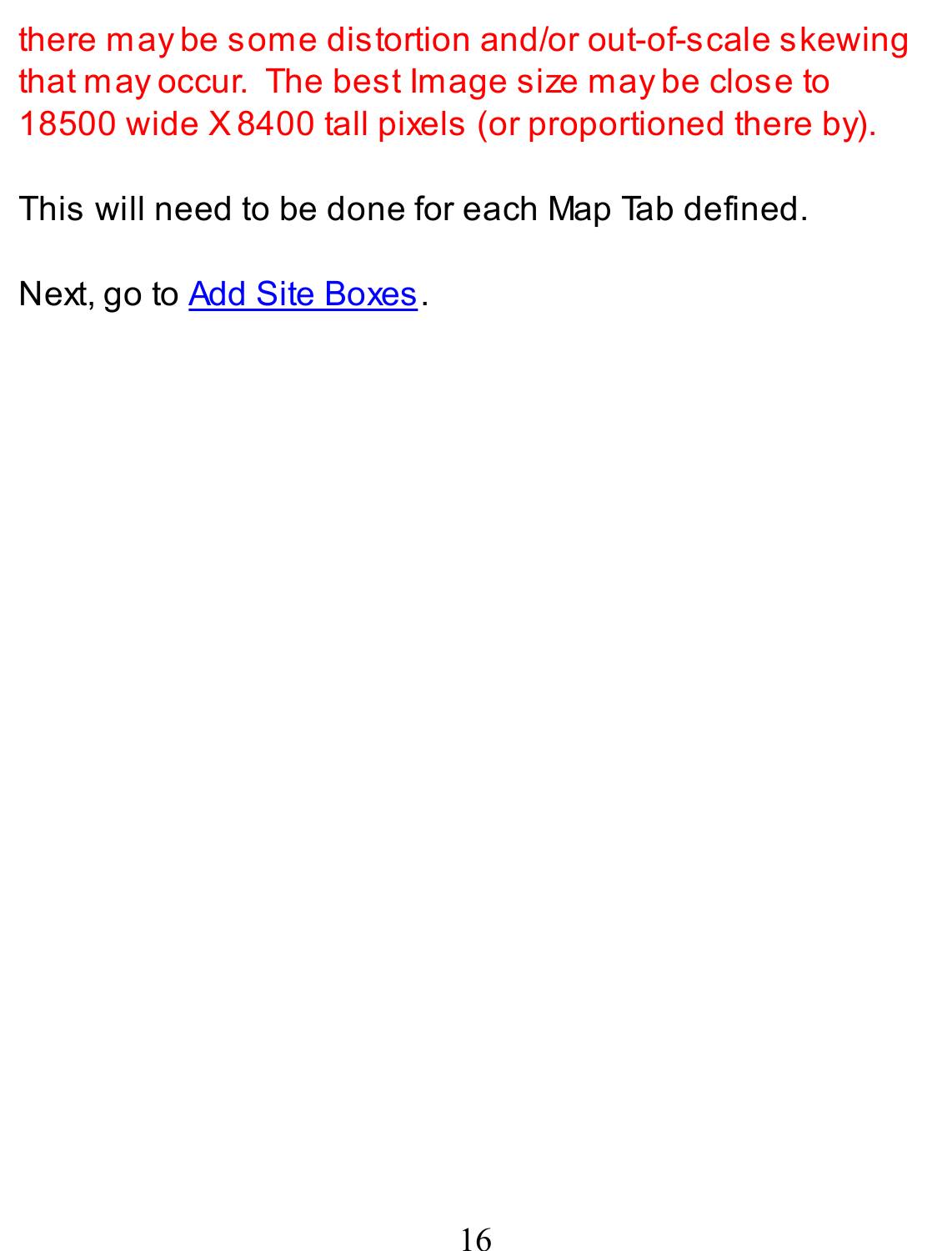there may be some distortion and/or out-of-scale skewing that may occur. The best Image size may be close to 18500 wide X8400 tall pixels (or proportioned there by).

This will need to be done for each Map Tab defined.

Next, go to **Add Site Boxes**.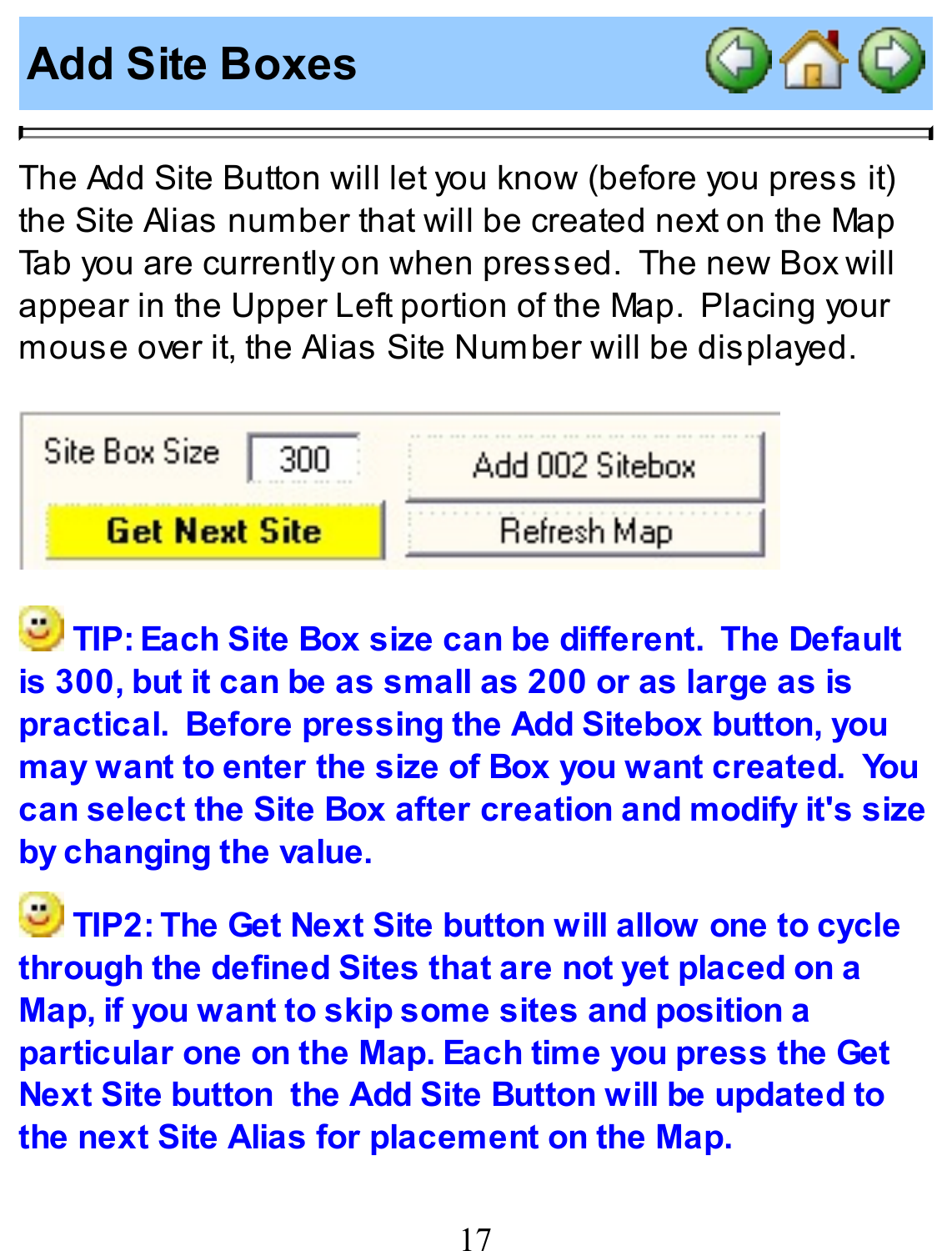#### **Add Site Boxes**



The Add Site Button will let you know (before you press it) the Site Alias number that will be created next on the Map Tab you are currently on when pressed. The new Box will appear in the Upper Left portion of the Map. Placing your mouse over it, the Alias Site Number will be displayed.

| Site Box Size        | Add 002 Sitebox |
|----------------------|-----------------|
| <b>Get Next Site</b> | Refresh Map     |

**TIP: Each Site Box size can be different. The Default is 300, but it can be as small as 200 or as large as is practical. Before pressing the Add Sitebox button, you may want to enter the size of Box you want created. You can select the Site Box after creation and modify it's size by changing the value.**

**TIP2: The Get Next Site button will allow one to cycle through the defined Sites that are not yet placed on a Map, if you want to skip some sites and position a particular one on the Map. Each time you press the Get Next Site button the Add Site Button will be updated to the next Site Alias for placement on the Map.**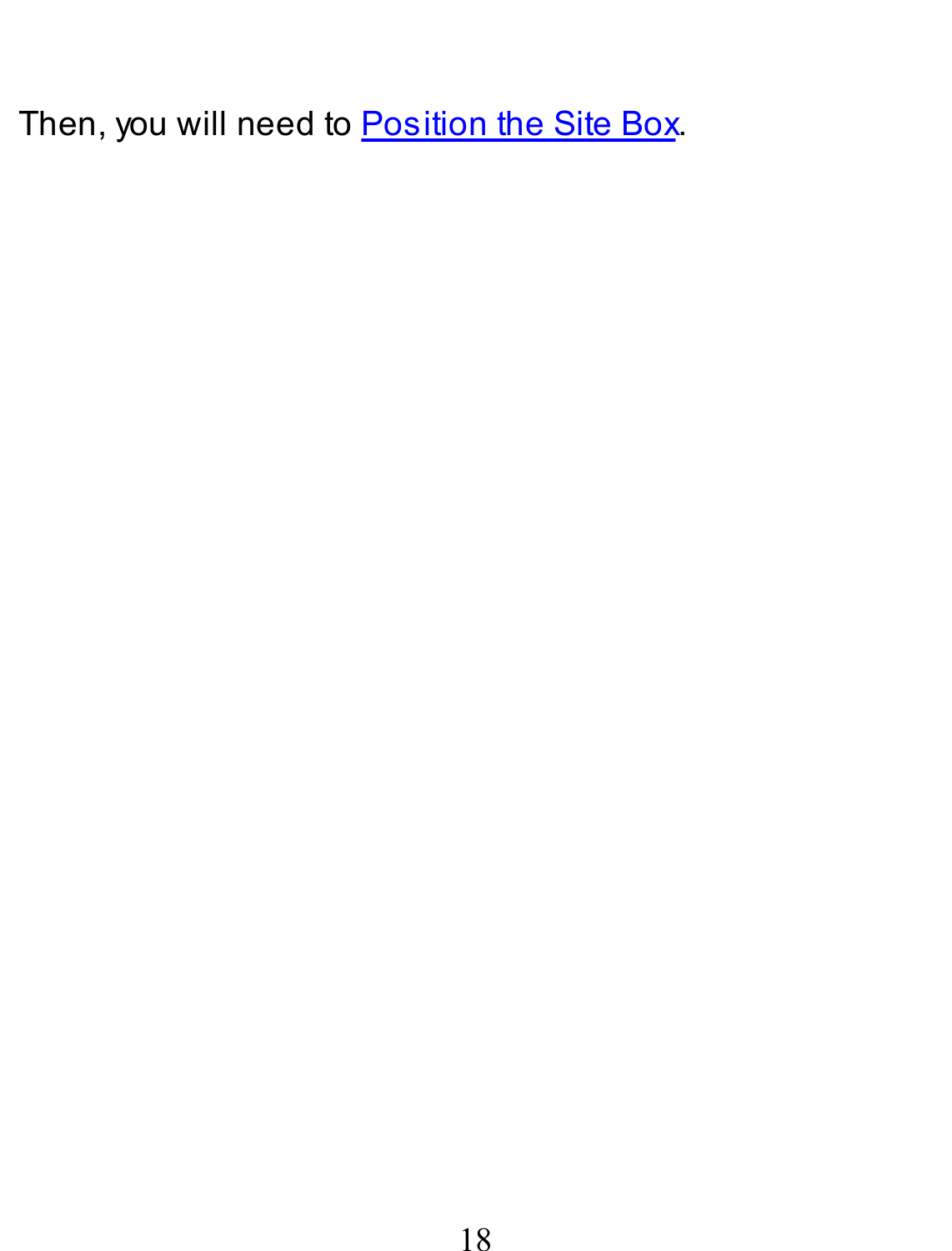Then, you will need to **Position the Site Box**.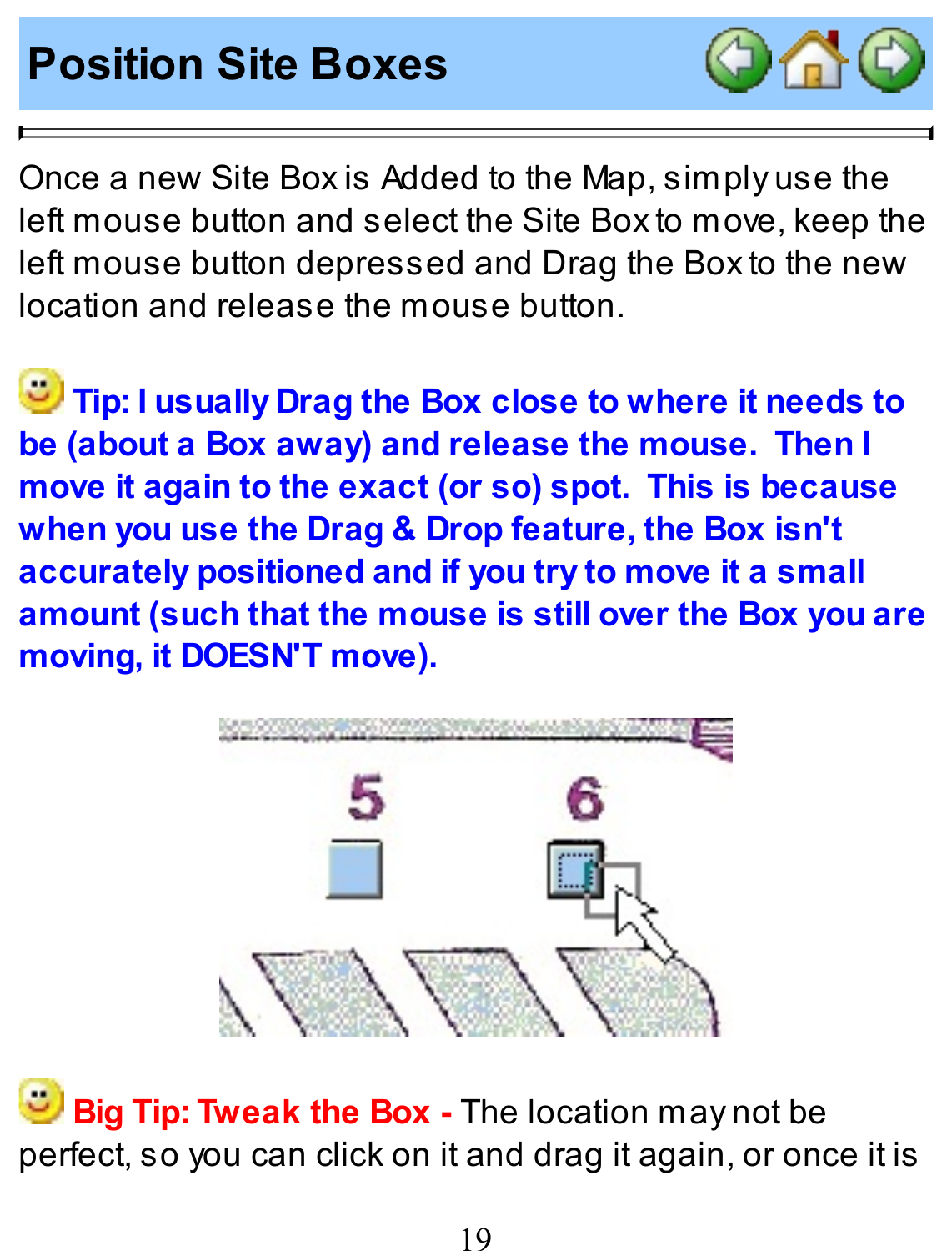### **Position Site Boxes**



Once a new Site Box is Added to the Map, simply use the left mouse button and select the Site Box to move, keep the left mouse button depressed and Drag the Box to the new location and release the mouse button.

**Tip: I usually Drag the Box close to where it needs to be (about a Box away) and release the mouse. Then I move it again to the exact (or so) spot. This is because when you use the Drag & Drop feature, the Box isn't accurately positioned and if you try to move it a small amount (such that the mouse is still over the Box you are moving, it DOESN'T move).**



**Big Tip: Tweak the Box -** The location may not be perfect, so you can click on it and drag it again, or once it is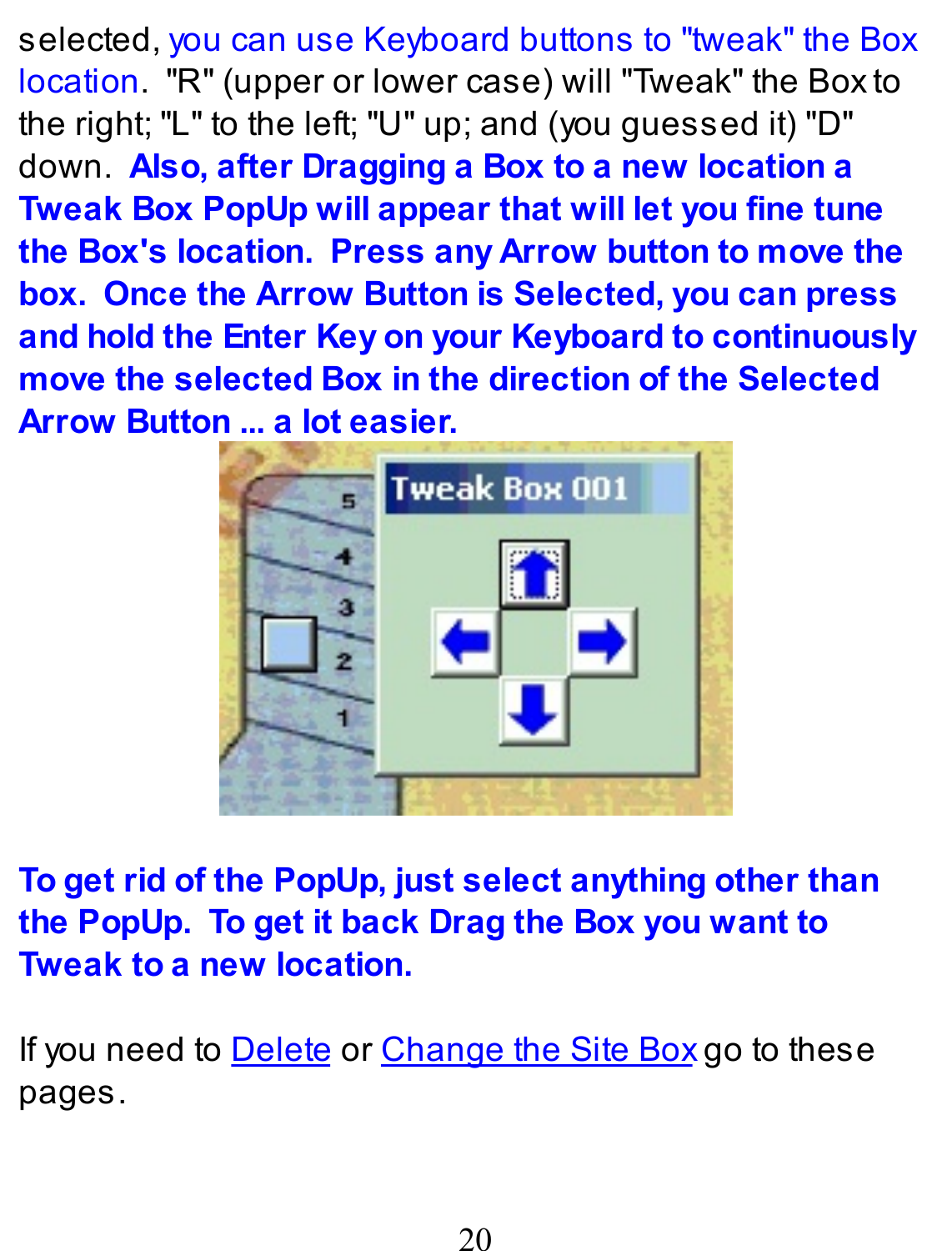selected, you can use Keyboard buttons to "tweak" the Box location. "R" (upper or lower case) will "Tweak" the Box to the right; "L" to the left; "U" up; and (you guessed it) "D" down. **Also, after Dragging a Box to a new location a Tweak Box PopUp will appear that will let you fine tune the Box's location. Press any Arrow button to move the box. Once the Arrow Button is Selected, you can press and hold the Enter Key on your Keyboard to continuously move the selected Box in the direction of the Selected Arrow Button ... a lot easier.**



**To get rid of the PopUp, just select anything other than the PopUp. To get it back Drag the Box you want to Tweak to a new location.**

If you need to Delete or Change the Site Box go to these pages.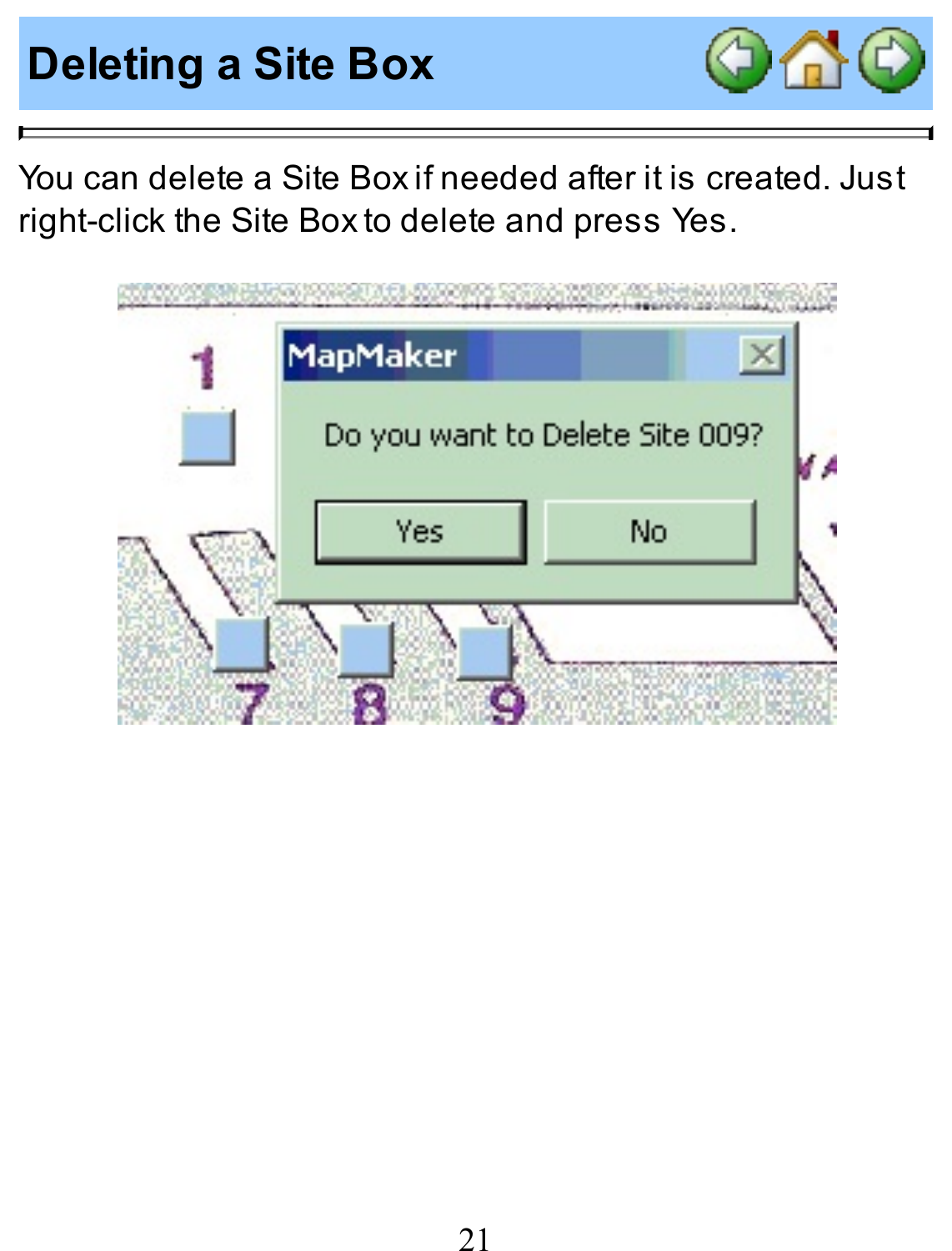# **Deleting a Site Box**



You can delete a Site Box if needed after it is created. Just right-click the Site Box to delete and press Yes.

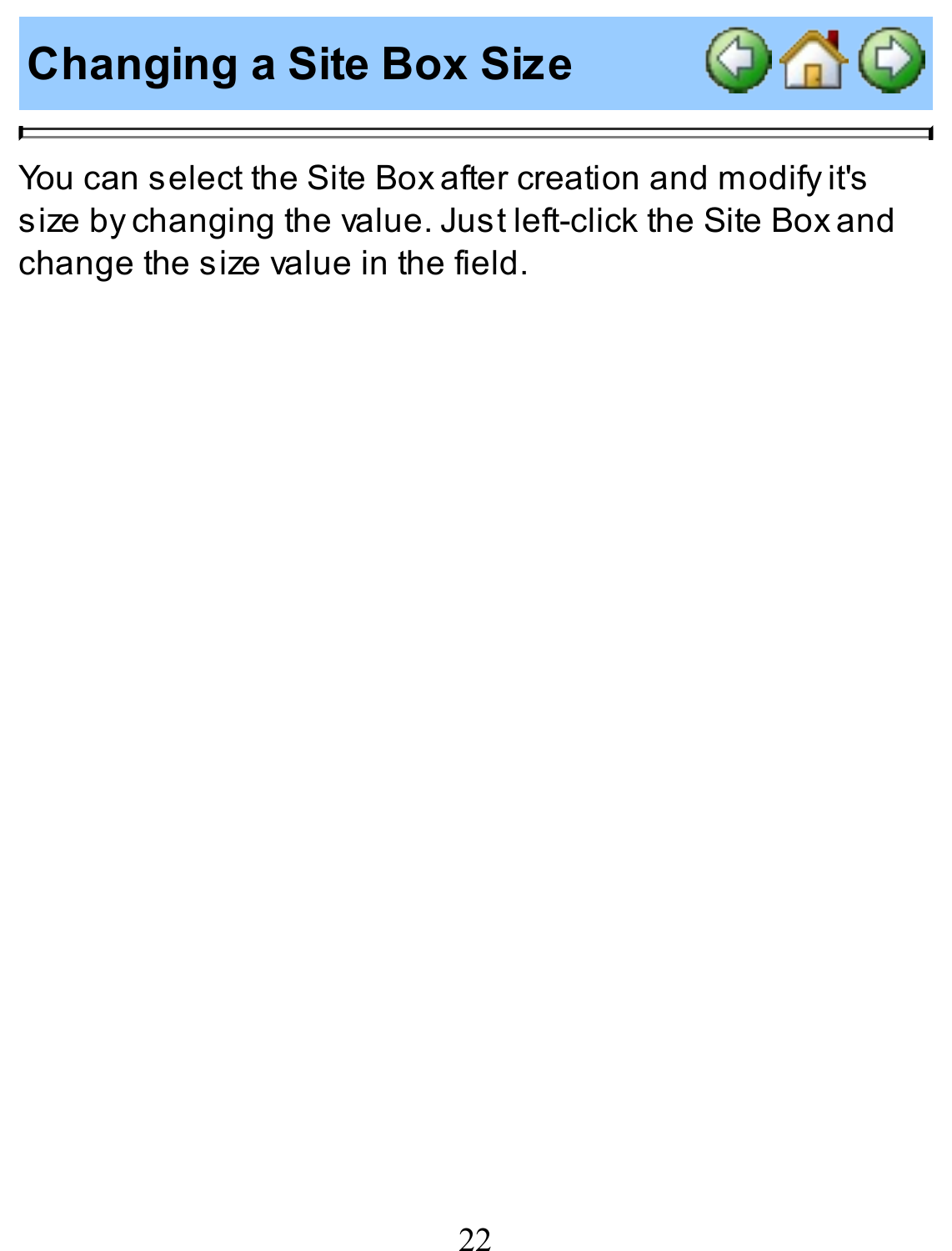**Changing a Site Box Size**



You can select the Site Box after creation and modify it's size by changing the value. Just left-click the Site Box and change the size value in the field.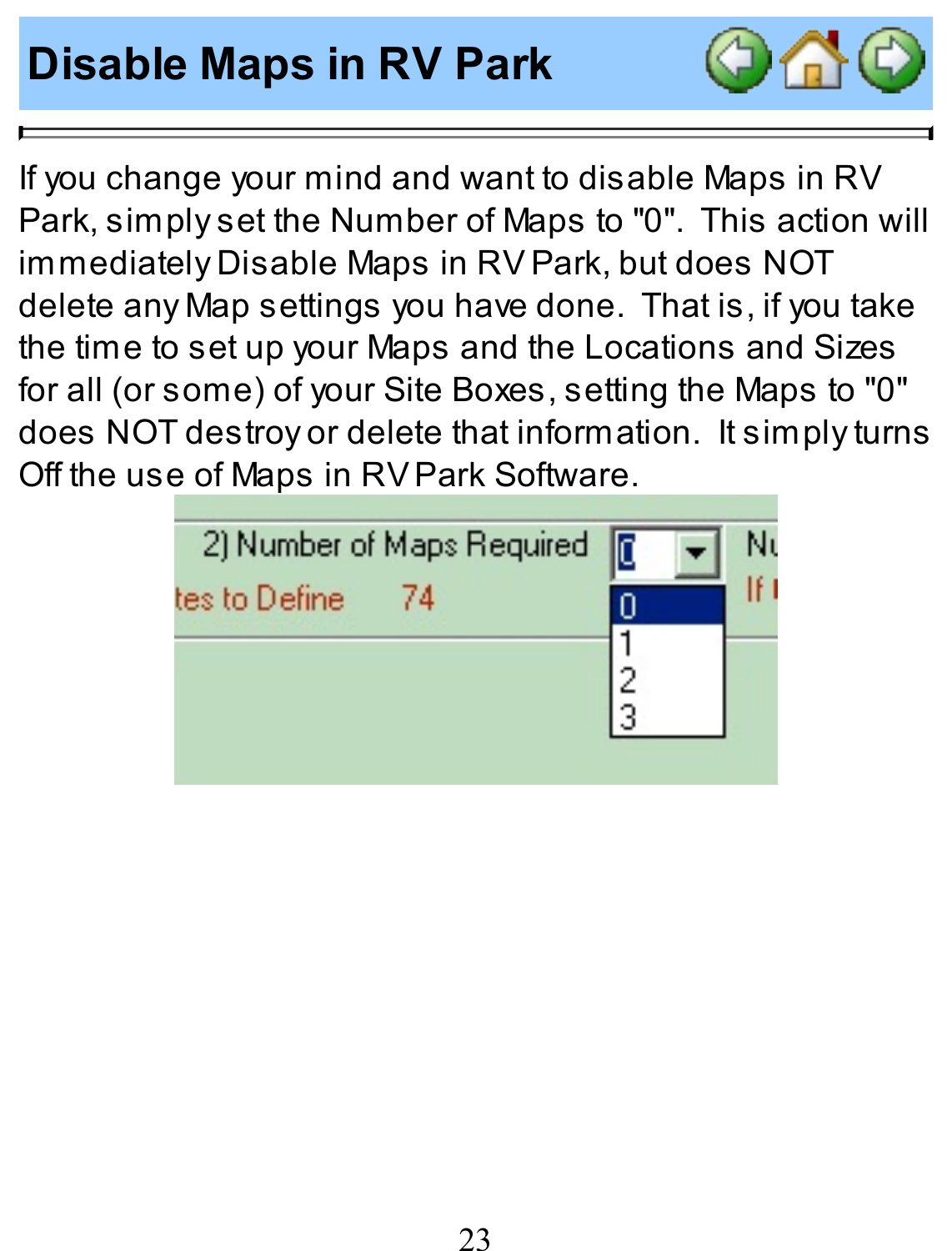# **Disable Maps in RV Park**



If you change your mind and want to disable Maps in RV Park, simply set the Number of Maps to "0". This action will immediately Disable Maps in RV Park, but does NOT delete any Map settings you have done. That is, if you take the time to set up your Maps and the Locations and Sizes for all (or some) of your Site Boxes, setting the Maps to "0" does NOT destroy or delete that information. It simply turns Off the use of Maps in RV Park Software.

| 2) Number of Maps Required | lr |  |
|----------------------------|----|--|
| tes to Define<br>74        |    |  |
|                            |    |  |
|                            |    |  |
|                            |    |  |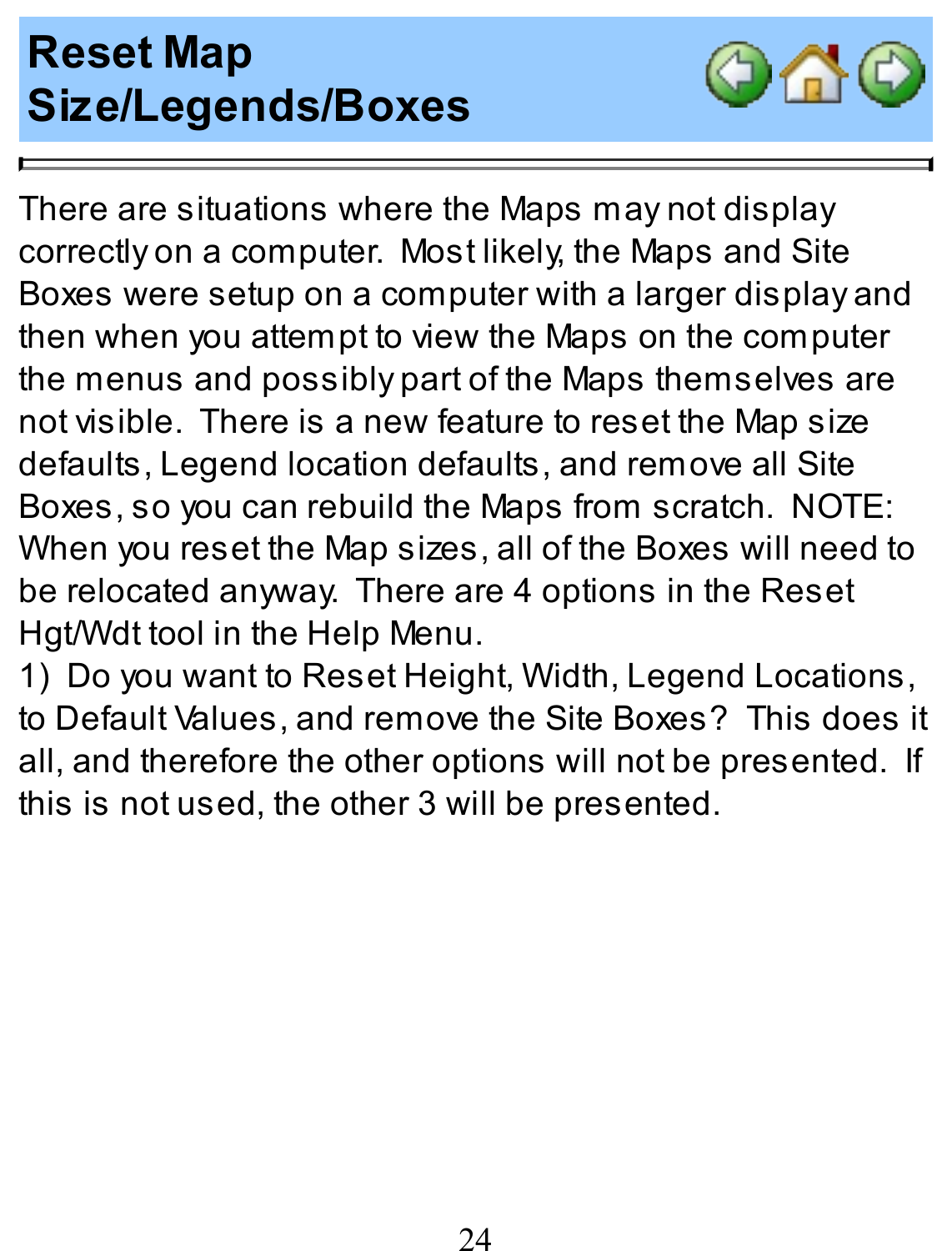# **Reset Map Size/Legends/Boxes**



There are situations where the Maps may not display correctly on a computer. Most likely, the Maps and Site Boxes were setup on a computer with a larger display and then when you attempt to view the Maps on the computer the menus and possibly part of the Maps themselves are not visible. There is a new feature to reset the Map size defaults, Legend location defaults, and remove all Site Boxes, so you can rebuild the Maps from scratch. NOTE: When you reset the Map sizes, all of the Boxes will need to be relocated anyway. There are 4 options in the Reset Hgt/Wdt tool in the Help Menu.

1) Do you want to Reset Height, Width, Legend Locations, to Default Values, and remove the Site Boxes? This does it all, and therefore the other options will not be presented. If this is not used, the other 3 will be presented.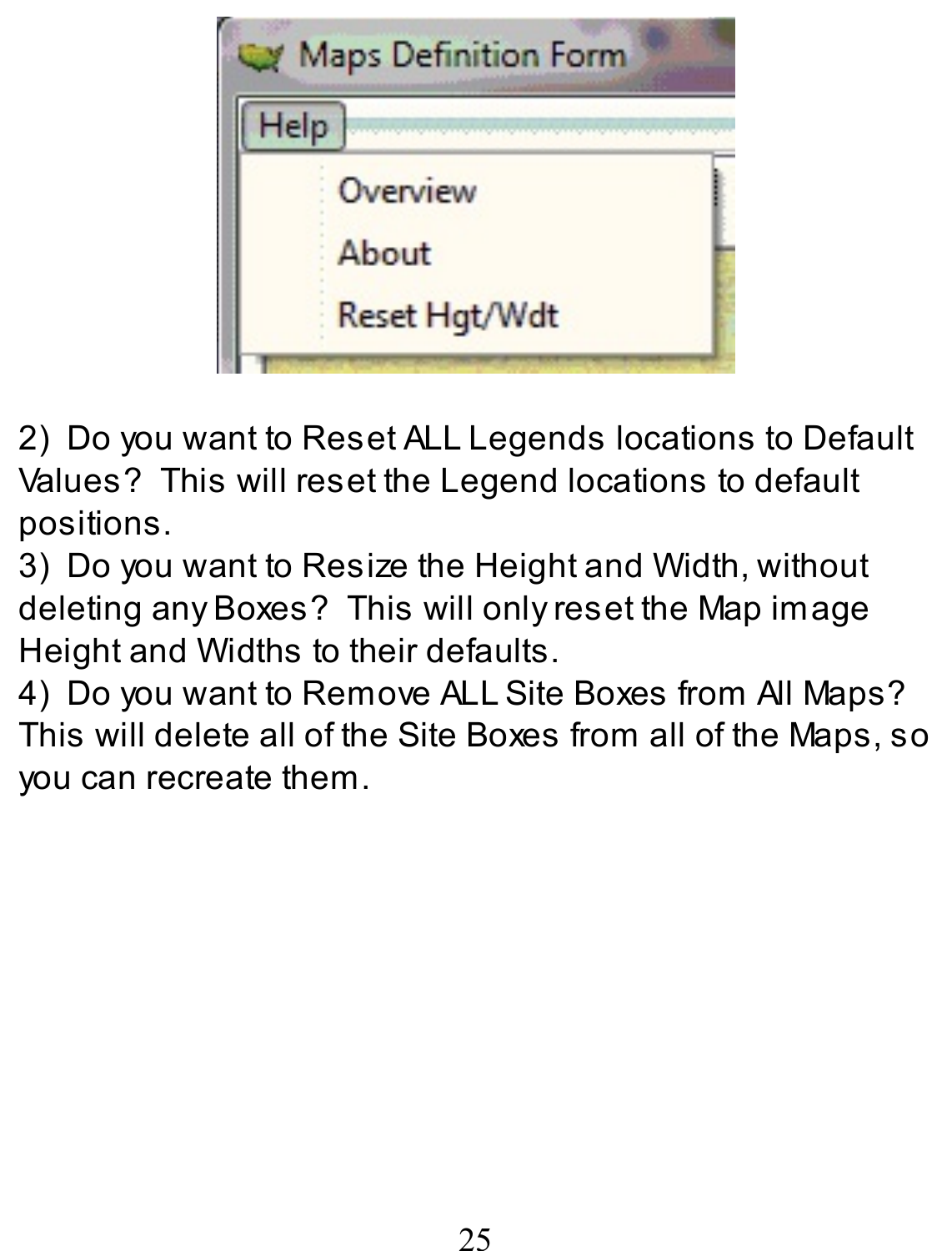

2) Do you want to Reset ALL Legends locations to Default Values? This will reset the Legend locations to default positions.

3) Do you want to Resize the Height and Width, without deleting anyBoxes? This will only reset the Map image Height and Widths to their defaults.

4) Do you want to Remove ALL Site Boxes from All Maps? This will delete all of the Site Boxes from all of the Maps, so you can recreate them.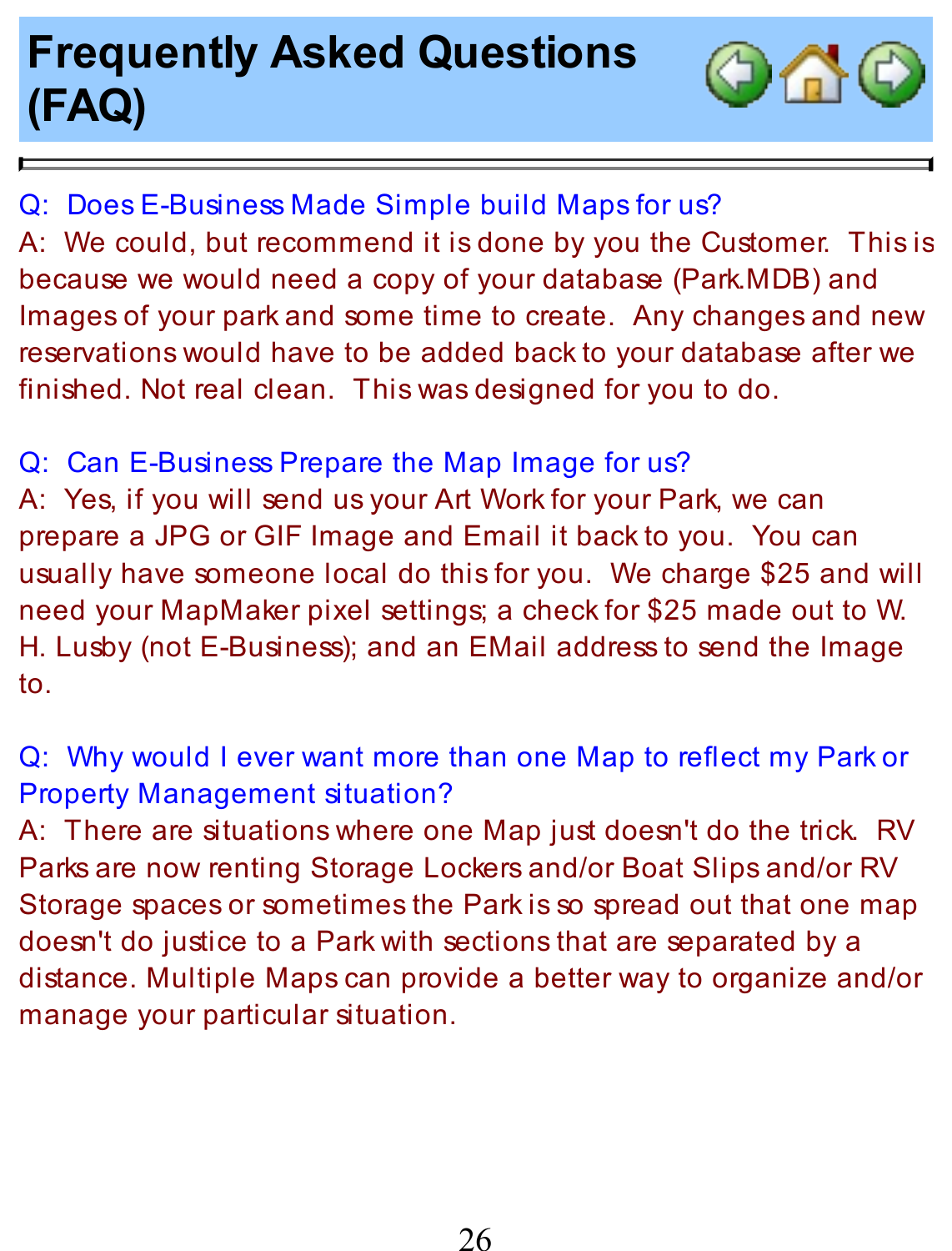# **Frequently Asked Questions (FAQ)**

þ.



Q: Does E-Business Made Simple build Maps for us? A: We could, but recommend it isdone by you the Customer. This is because we would need a copy of your database (Park.MDB) and Images of your park and some time to create. Any changes and new reservations would have to be added back to your database after we finished. Not real clean. This wasdesigned for you to do.

Q: Can E-Business Prepare the Map Image for us? A: Yes, if you will send us your Art Work for your Park, we can prepare a JPG or GIF Image and Email it back to you. You can usually have someone local do this for you. We charge \$25 and will need your MapMaker pixel settings; a check for \$25 made out to W. H. Lusby (not E-Business); and an EMail address to send the Image to.

Q: Why would I ever want more than one Map to reflect my Parkor Property Management situation?

A: There are situations where one Map just doesn't do the trick. RV Parks are now renting Storage Lockers and/or Boat Slips and/or RV Storage spaces or sometimes the Park is so spread out that one map doesn't do justice to a Park with sections that are separated by a distance. Multiple Maps can provide a better way to organize and/or manage your particular situation.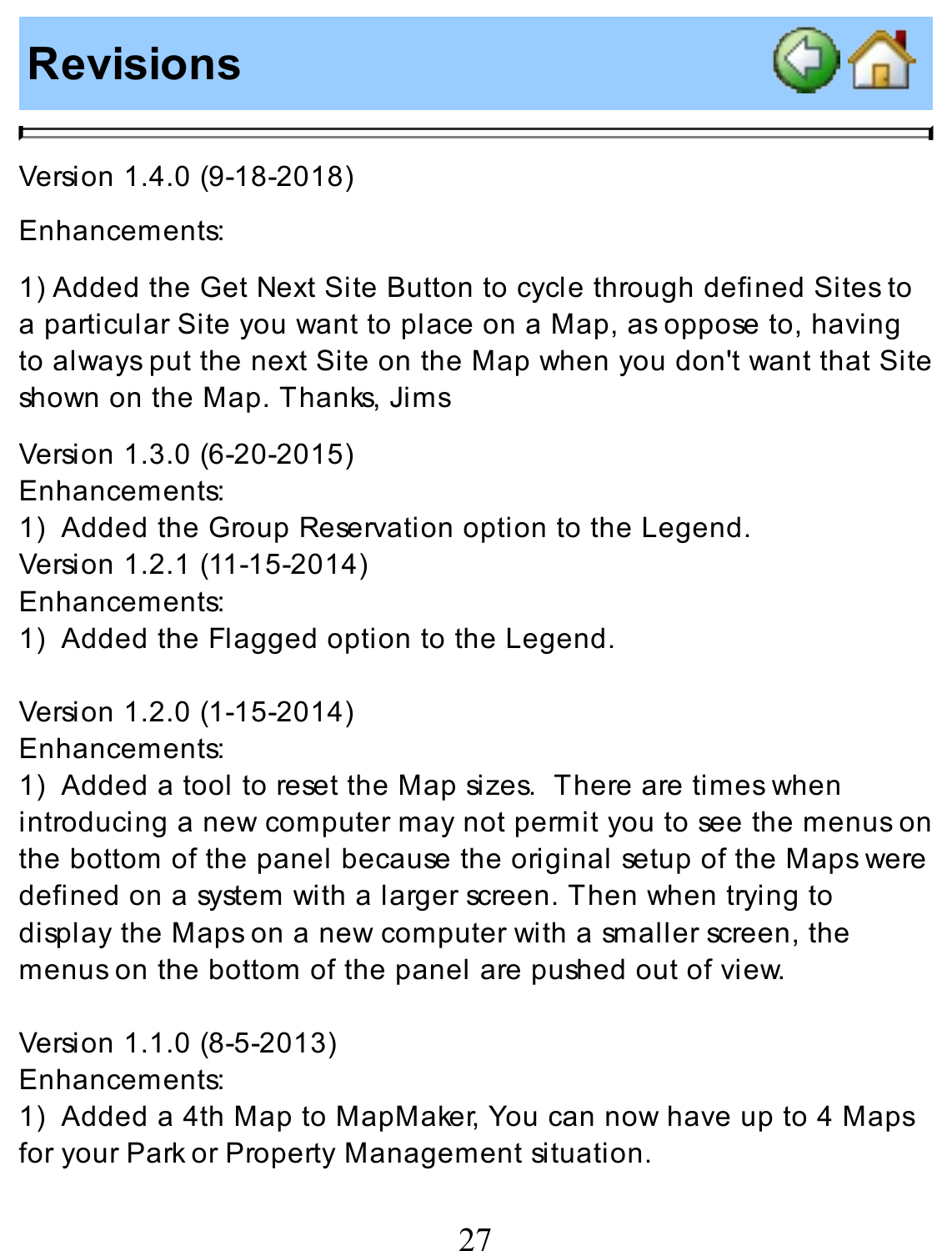#### **Revisions**



Version 1.4.0 (9-18-2018)

#### Enhancements:

1) Added the Get Next Site Button to cycle through defined Sites to a particular Site you want to place on a Map, asoppose to, having to alwaysput the next Site on the Map when you don't want that Site shown on the Map. Thanks, Jims

Version 1.3.0 (6-20-2015) Enhancements: 1) Added the Group Reservation option to the Legend. Version 1.2.1 (11-15-2014) Enhancements: 1) Added the Flagged option to the Legend.

Version 1.2.0 (1-15-2014) Enhancements:

1) Added a tool to reset the Map sizes. There are times when introducing a new computer may not permit you to see the menuson the bottom of the panel because the original setup of the Maps were defined on a system with a larger screen. Then when trying to display the Mapson a new computer with a smaller screen, the menuson the bottom of the panel are pushed out of view.

Version 1.1.0 (8-5-2013) Enhancements: 1) Added a 4th Map to MapMaker, You can now have up to 4 Maps for your Park or Property Management situation.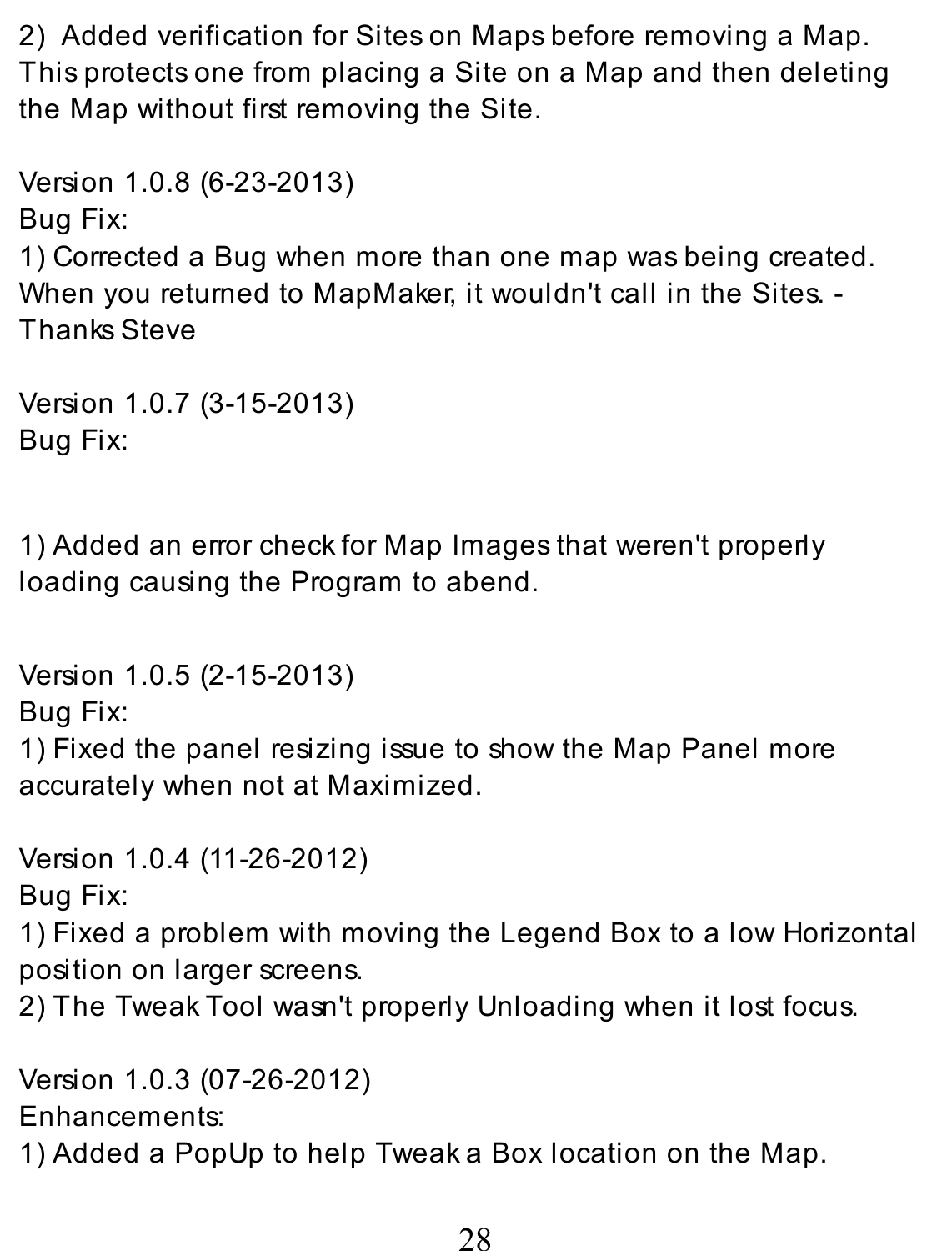2) Added verification for Siteson Mapsbefore removing a Map. Thisprotectsone from placing a Site on a Map and then deleting the Map without first removing the Site.

Version 1.0.8 (6-23-2013) Bug Fix: 1) Corrected a Bug when more than one map wasbeing created. When you returned to MapMaker, it wouldn't call in the Sites. -Thanks Steve

```
Version 1.0.7 (3-15-2013)
Bug Fix:
```
1) Added an error check for Map Images that weren't properly loading causing the Program to abend.

Version 1.0.5 (2-15-2013) Bug Fix: 1) Fixed the panel resizing issue to show the Map Panel more accurately when not at Maximized.

Version 1.0.4 (11-26-2012) Bug Fix:

1) Fixed a problem with moving the Legend Box to a low Horizontal position on larger screens.

2) The Tweak Tool wasn't properly Unloading when it lost focus.

Version 1.0.3 (07-26-2012) Enhancements: 1) Added a PopUp to help Tweaka Box location on the Map.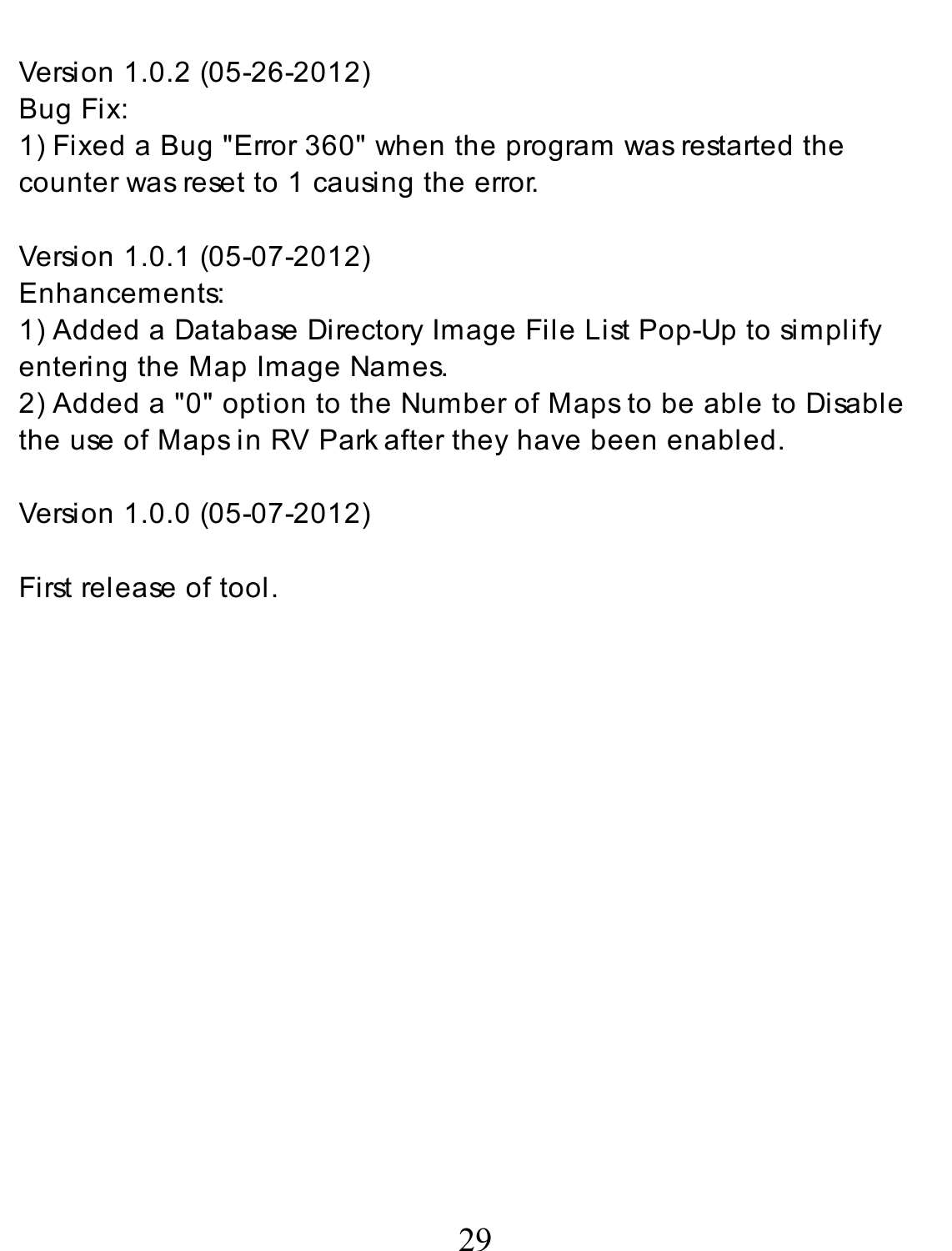Version 1.0.2 (05-26-2012)

Bug Fix:

1) Fixed a Bug "Error 360" when the program was restarted the counter was reset to 1 causing the error.

Version 1.0.1 (05-07-2012)

Enhancements:

1) Added a Database Directory Image File List Pop-Up to simplify entering the Map Image Names.

2) Added a "0" option to the Number of Maps to be able to Disable the use of Maps in RV Parkafter they have been enabled.

Version 1.0.0 (05-07-2012)

First release of tool.